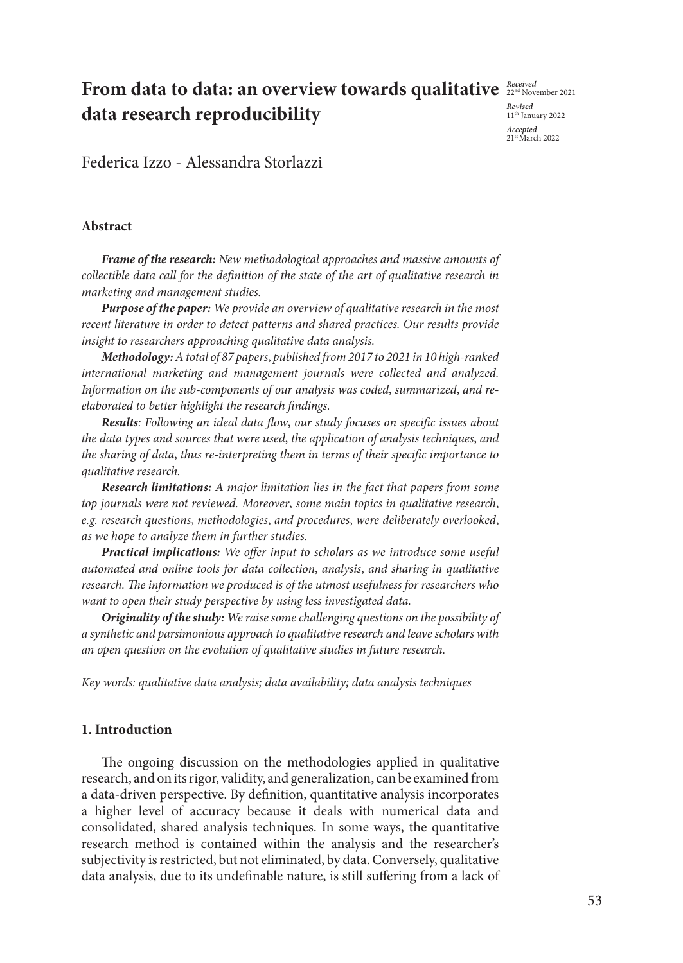## **From data to data: an overview towards qualitative**  $\frac{Received}{22^{nt} \ Norem}$ **data research reproducibility**

*Revised* 11th January 2022 *Accepted*  21st March 2022

Federica Izzo - Alessandra Storlazzi

#### **Abstract**

*Frame of the research: New methodological approaches and massive amounts of collectible data call for the definition of the state of the art of qualitative research in marketing and management studies.*

*Purpose of the paper: We provide an overview of qualitative research in the most recent literature in order to detect patterns and shared practices. Our results provide insight to researchers approaching qualitative data analysis.* 

*Methodology: A total of 87 papers*, *published from 2017 to 2021 in 10 high-ranked international marketing and management journals were collected and analyzed. Information on the sub-components of our analysis was coded*, *summarized*, *and reelaborated to better highlight the research findings.* 

*Results: Following an ideal data flow*, *our study focuses on specific issues about the data types and sources that were used*, *the application of analysis techniques*, *and the sharing of data*, *thus re-interpreting them in terms of their specific importance to qualitative research.*

*Research limitations: A major limitation lies in the fact that papers from some top journals were not reviewed. Moreover*, *some main topics in qualitative research*, *e.g. research questions*, *methodologies*, *and procedures*, *were deliberately overlooked*, *as we hope to analyze them in further studies.*

*Practical implications: We offer input to scholars as we introduce some useful automated and online tools for data collection*, *analysis*, *and sharing in qualitative research. The information we produced is of the utmost usefulness for researchers who want to open their study perspective by using less investigated data.* 

*Originality of the study: We raise some challenging questions on the possibility of a synthetic and parsimonious approach to qualitative research and leave scholars with an open question on the evolution of qualitative studies in future research.* 

*Key words: qualitative data analysis; data availability; data analysis techniques* 

#### **1. Introduction**

The ongoing discussion on the methodologies applied in qualitative research, and on its rigor, validity, and generalization, can be examined from a data-driven perspective. By definition, quantitative analysis incorporates a higher level of accuracy because it deals with numerical data and consolidated, shared analysis techniques. In some ways, the quantitative research method is contained within the analysis and the researcher's subjectivity is restricted, but not eliminated, by data. Conversely, qualitative data analysis, due to its undefinable nature, is still suffering from a lack of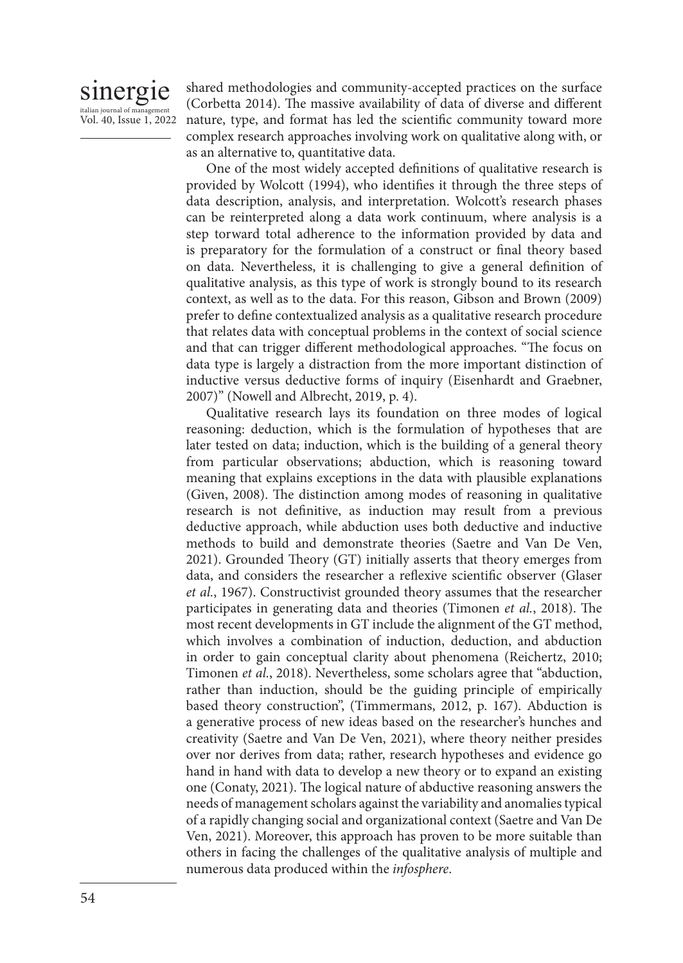### sinergie italian journal of mana Vol. 40, Issue 1, 2022

shared methodologies and community-accepted practices on the surface (Corbetta 2014). The massive availability of data of diverse and different nature, type, and format has led the scientific community toward more complex research approaches involving work on qualitative along with, or as an alternative to, quantitative data.

One of the most widely accepted definitions of qualitative research is provided by Wolcott (1994), who identifies it through the three steps of data description, analysis, and interpretation. Wolcott's research phases can be reinterpreted along a data work continuum, where analysis is a step torward total adherence to the information provided by data and is preparatory for the formulation of a construct or final theory based on data. Nevertheless, it is challenging to give a general definition of qualitative analysis, as this type of work is strongly bound to its research context, as well as to the data. For this reason, Gibson and Brown (2009) prefer to define contextualized analysis as a qualitative research procedure that relates data with conceptual problems in the context of social science and that can trigger different methodological approaches. "The focus on data type is largely a distraction from the more important distinction of inductive versus deductive forms of inquiry (Eisenhardt and Graebner, 2007)" (Nowell and Albrecht, 2019, p. 4).

Qualitative research lays its foundation on three modes of logical reasoning: deduction, which is the formulation of hypotheses that are later tested on data; induction, which is the building of a general theory from particular observations; abduction, which is reasoning toward meaning that explains exceptions in the data with plausible explanations (Given, 2008). The distinction among modes of reasoning in qualitative research is not definitive, as induction may result from a previous deductive approach, while abduction uses both deductive and inductive methods to build and demonstrate theories (Saetre and Van De Ven, 2021). Grounded Theory (GT) initially asserts that theory emerges from data, and considers the researcher a reflexive scientific observer (Glaser *et al.*, 1967). Constructivist grounded theory assumes that the researcher participates in generating data and theories (Timonen *et al.*, 2018). The most recent developments in GT include the alignment of the GT method, which involves a combination of induction, deduction, and abduction in order to gain conceptual clarity about phenomena (Reichertz, 2010; Timonen *et al.*, 2018). Nevertheless, some scholars agree that "abduction, rather than induction, should be the guiding principle of empirically based theory construction", (Timmermans, 2012, p. 167). Abduction is a generative process of new ideas based on the researcher's hunches and creativity (Saetre and Van De Ven, 2021), where theory neither presides over nor derives from data; rather, research hypotheses and evidence go hand in hand with data to develop a new theory or to expand an existing one (Conaty, 2021). The logical nature of abductive reasoning answers the needs of management scholars against the variability and anomalies typical of a rapidly changing social and organizational context (Saetre and Van De Ven, 2021). Moreover, this approach has proven to be more suitable than others in facing the challenges of the qualitative analysis of multiple and numerous data produced within the *infosphere*.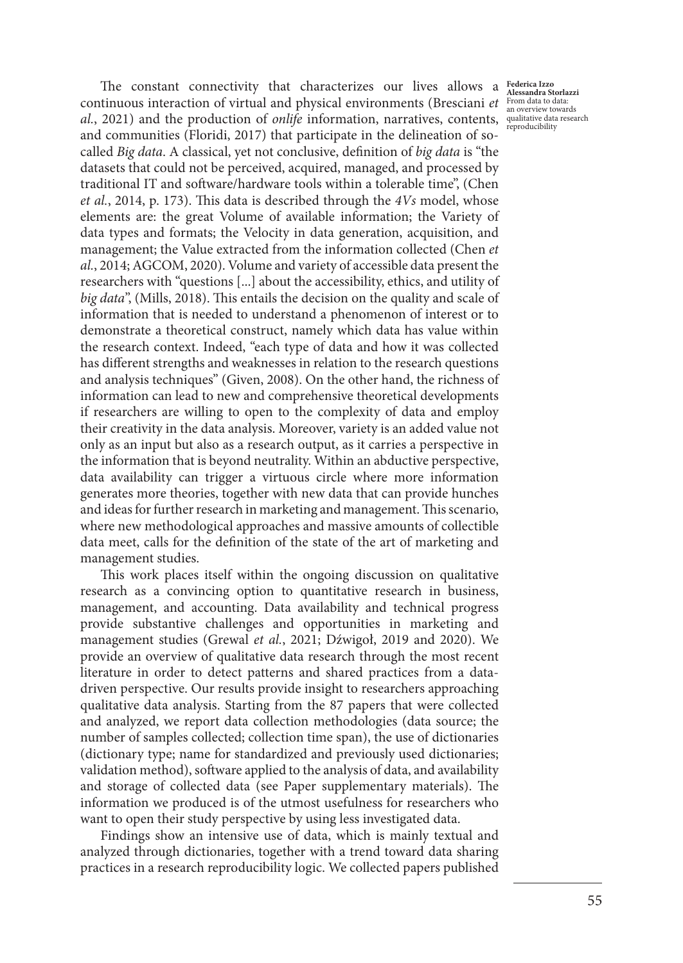al., 2021) and the production of *onlife* information, narratives, contents, qualitative data research The constant connectivity that characterizes our lives allows a continuous interaction of virtual and physical environments (Bresciani *et*  and communities (Floridi, 2017) that participate in the delineation of socalled *Big data*. A classical, yet not conclusive, definition of *big data* is "the datasets that could not be perceived, acquired, managed, and processed by traditional IT and software/hardware tools within a tolerable time", (Chen *et al.*, 2014, p. 173). This data is described through the *4Vs* model, whose elements are: the great Volume of available information; the Variety of data types and formats; the Velocity in data generation, acquisition, and management; the Value extracted from the information collected (Chen *et al.*, 2014; AGCOM, 2020). Volume and variety of accessible data present the researchers with "questions [...] about the accessibility, ethics, and utility of *big data*", (Mills, 2018). This entails the decision on the quality and scale of information that is needed to understand a phenomenon of interest or to demonstrate a theoretical construct, namely which data has value within the research context. Indeed, "each type of data and how it was collected has different strengths and weaknesses in relation to the research questions and analysis techniques" (Given, 2008). On the other hand, the richness of information can lead to new and comprehensive theoretical developments if researchers are willing to open to the complexity of data and employ their creativity in the data analysis. Moreover, variety is an added value not only as an input but also as a research output, as it carries a perspective in the information that is beyond neutrality. Within an abductive perspective, data availability can trigger a virtuous circle where more information generates more theories, together with new data that can provide hunches and ideas for further research in marketing and management. This scenario, where new methodological approaches and massive amounts of collectible data meet, calls for the definition of the state of the art of marketing and management studies.

This work places itself within the ongoing discussion on qualitative research as a convincing option to quantitative research in business, management, and accounting. Data availability and technical progress provide substantive challenges and opportunities in marketing and management studies (Grewal *et al.*, 2021; Dźwigoł, 2019 and 2020). We provide an overview of qualitative data research through the most recent literature in order to detect patterns and shared practices from a datadriven perspective. Our results provide insight to researchers approaching qualitative data analysis. Starting from the 87 papers that were collected and analyzed, we report data collection methodologies (data source; the number of samples collected; collection time span), the use of dictionaries (dictionary type; name for standardized and previously used dictionaries; validation method), software applied to the analysis of data, and availability and storage of collected data (see Paper supplementary materials). The information we produced is of the utmost usefulness for researchers who want to open their study perspective by using less investigated data.

Findings show an intensive use of data, which is mainly textual and analyzed through dictionaries, together with a trend toward data sharing practices in a research reproducibility logic. We collected papers published

**Federica Izzo Alessandra Storlazzi** From data to data: an overview towards reproducibility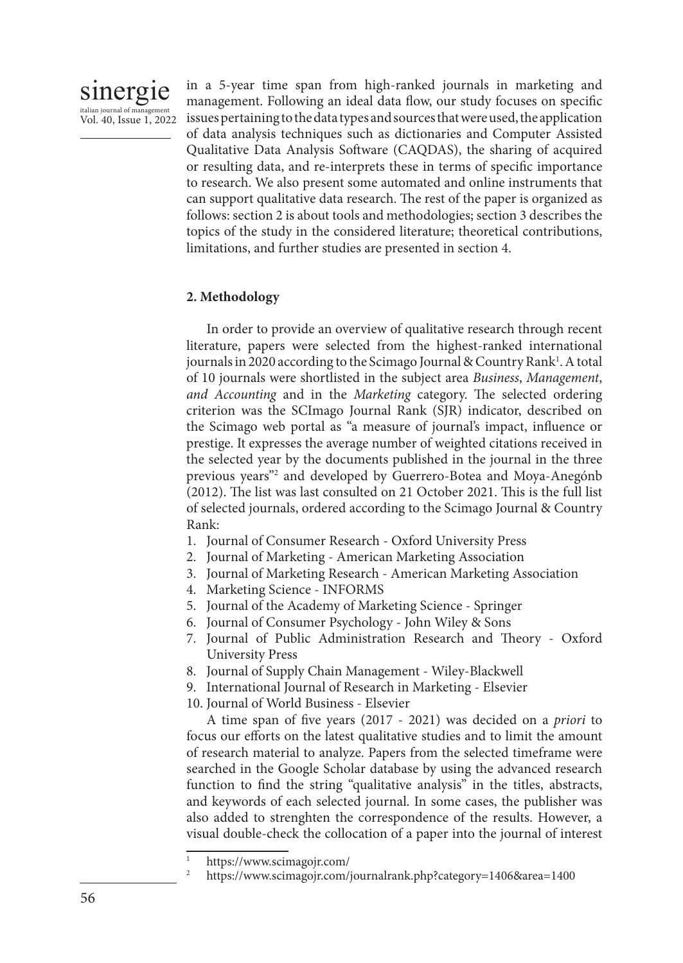

in a 5-year time span from high-ranked journals in marketing and management. Following an ideal data flow, our study focuses on specific issues pertaining to the data types and sources that were used, the application of data analysis techniques such as dictionaries and Computer Assisted Qualitative Data Analysis Software (CAQDAS), the sharing of acquired or resulting data, and re-interprets these in terms of specific importance to research. We also present some automated and online instruments that can support qualitative data research. The rest of the paper is organized as follows: section 2 is about tools and methodologies; section 3 describes the topics of the study in the considered literature; theoretical contributions, limitations, and further studies are presented in section 4.

#### **2. Methodology**

In order to provide an overview of qualitative research through recent literature, papers were selected from the highest-ranked international journals in 2020 according to the Scimago Journal & Country Rank<sup>1</sup>. A total of 10 journals were shortlisted in the subject area *Business*, *Management*, *and Accounting* and in the *Marketing* category. The selected ordering criterion was the SCImago Journal Rank (SJR) indicator, described on the Scimago web portal as "a measure of journal's impact, influence or prestige. It expresses the average number of weighted citations received in the selected year by the documents published in the journal in the three previous years"2 and developed by Guerrero-Botea and Moya-Anegónb (2012). The list was last consulted on 21 October 2021. This is the full list of selected journals, ordered according to the Scimago Journal & Country Rank:

- 1. Journal of Consumer Research Oxford University Press
- 2. Journal of Marketing American Marketing Association
- 3. Journal of Marketing Research American Marketing Association
- 4. Marketing Science INFORMS
- 5. Journal of the Academy of Marketing Science Springer
- 6. Journal of Consumer Psychology John Wiley & Sons
- 7. Journal of Public Administration Research and Theory Oxford University Press
- 8. Journal of Supply Chain Management Wiley-Blackwell
- 9. International Journal of Research in Marketing Elsevier
- 10. Journal of World Business Elsevier

A time span of five years (2017 - 2021) was decided on a *priori* to focus our efforts on the latest qualitative studies and to limit the amount of research material to analyze. Papers from the selected timeframe were searched in the Google Scholar database by using the advanced research function to find the string "qualitative analysis" in the titles, abstracts, and keywords of each selected journal. In some cases, the publisher was also added to strenghten the correspondence of the results. However, a visual double-check the collocation of a paper into the journal of interest

https://www.scimagojr.com/

<sup>2</sup> https://www.scimagojr.com/journalrank.php?category=1406&area=1400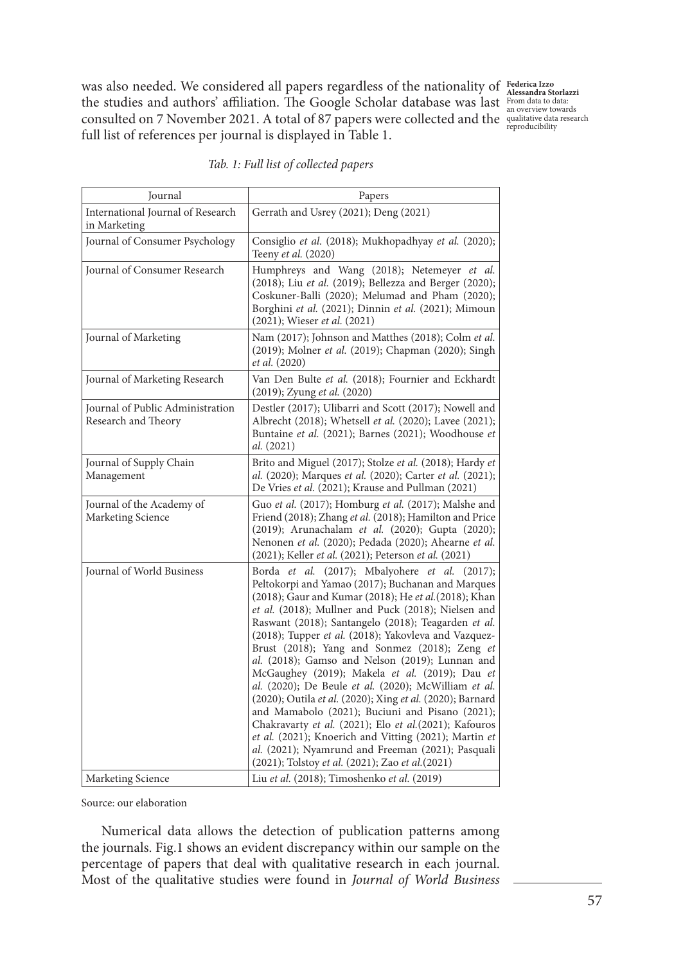was also needed. We considered all papers regardless of the nationality of **Federica Izzo**  the studies and authors' affiliation. The Google Scholar database was last consulted on 7 November 2021. A total of 87 papers were collected and the full list of references per journal is displayed in Table 1.

**Alessandra Storlazzi** From data to data: an overview towards qualitative data research reproducibility

| Journal                                                 | Papers                                                                                                                                                                                                                                                                                                                                                                                                                                                                                                                                                                                                                                                                                                                                                                                                                                                                                       |
|---------------------------------------------------------|----------------------------------------------------------------------------------------------------------------------------------------------------------------------------------------------------------------------------------------------------------------------------------------------------------------------------------------------------------------------------------------------------------------------------------------------------------------------------------------------------------------------------------------------------------------------------------------------------------------------------------------------------------------------------------------------------------------------------------------------------------------------------------------------------------------------------------------------------------------------------------------------|
| International Journal of Research<br>in Marketing       | Gerrath and Usrey (2021); Deng (2021)                                                                                                                                                                                                                                                                                                                                                                                                                                                                                                                                                                                                                                                                                                                                                                                                                                                        |
| Journal of Consumer Psychology                          | Consiglio et al. (2018); Mukhopadhyay et al. (2020);<br>Teeny et al. (2020)                                                                                                                                                                                                                                                                                                                                                                                                                                                                                                                                                                                                                                                                                                                                                                                                                  |
| Journal of Consumer Research                            | Humphreys and Wang (2018); Netemeyer et al.<br>(2018); Liu et al. (2019); Bellezza and Berger (2020);<br>Coskuner-Balli (2020); Melumad and Pham (2020);<br>Borghini et al. (2021); Dinnin et al. (2021); Mimoun<br>(2021); Wieser et al. (2021)                                                                                                                                                                                                                                                                                                                                                                                                                                                                                                                                                                                                                                             |
| Journal of Marketing                                    | Nam (2017); Johnson and Matthes (2018); Colm et al.<br>(2019); Molner et al. (2019); Chapman (2020); Singh<br>et al. (2020)                                                                                                                                                                                                                                                                                                                                                                                                                                                                                                                                                                                                                                                                                                                                                                  |
| Journal of Marketing Research                           | Van Den Bulte et al. (2018); Fournier and Eckhardt<br>(2019); Zyung et al. (2020)                                                                                                                                                                                                                                                                                                                                                                                                                                                                                                                                                                                                                                                                                                                                                                                                            |
| Journal of Public Administration<br>Research and Theory | Destler (2017); Ulibarri and Scott (2017); Nowell and<br>Albrecht (2018); Whetsell et al. (2020); Lavee (2021);<br>Buntaine et al. (2021); Barnes (2021); Woodhouse et<br>al. (2021)                                                                                                                                                                                                                                                                                                                                                                                                                                                                                                                                                                                                                                                                                                         |
| Journal of Supply Chain<br>Management                   | Brito and Miguel (2017); Stolze et al. (2018); Hardy et<br>al. (2020); Marques et al. (2020); Carter et al. (2021);<br>De Vries et al. (2021); Krause and Pullman (2021)                                                                                                                                                                                                                                                                                                                                                                                                                                                                                                                                                                                                                                                                                                                     |
| Journal of the Academy of<br>Marketing Science          | Guo et al. (2017); Homburg et al. (2017); Malshe and<br>Friend (2018); Zhang et al. (2018); Hamilton and Price<br>(2019); Arunachalam et al. (2020); Gupta (2020);<br>Nenonen et al. (2020); Pedada (2020); Ahearne et al.<br>(2021); Keller et al. (2021); Peterson et al. (2021)                                                                                                                                                                                                                                                                                                                                                                                                                                                                                                                                                                                                           |
| Journal of World Business                               | Borda et al. (2017); Mbalyohere et al. (2017);<br>Peltokorpi and Yamao (2017); Buchanan and Marques<br>(2018); Gaur and Kumar (2018); He et al. (2018); Khan<br>et al. (2018); Mullner and Puck (2018); Nielsen and<br>Raswant (2018); Santangelo (2018); Teagarden et al.<br>(2018); Tupper et al. (2018); Yakovleva and Vazquez-<br>Brust (2018); Yang and Sonmez (2018); Zeng et<br>al. (2018); Gamso and Nelson (2019); Lunnan and<br>McGaughey (2019); Makela et al. (2019); Dau et<br>al. (2020); De Beule et al. (2020); McWilliam et al.<br>(2020); Outila et al. (2020); Xing et al. (2020); Barnard<br>and Mamabolo (2021); Buciuni and Pisano (2021);<br>Chakravarty et al. (2021); Elo et al. (2021); Kafouros<br>et al. (2021); Knoerich and Vitting (2021); Martin et<br>al. (2021); Nyamrund and Freeman (2021); Pasquali<br>(2021); Tolstoy et al. (2021); Zao et al. (2021) |
| Marketing Science                                       | Liu et al. (2018); Timoshenko et al. (2019)                                                                                                                                                                                                                                                                                                                                                                                                                                                                                                                                                                                                                                                                                                                                                                                                                                                  |

*Tab. 1: Full list of collected papers*

Ĭ Source: our elaboration

Numerical data allows the detection of publication patterns among the journals. Fig.1 shows an evident discrepancy within our sample on the percentage of papers that deal with qualitative research in each journal. Most of the qualitative studies were found in *Journal of World Business*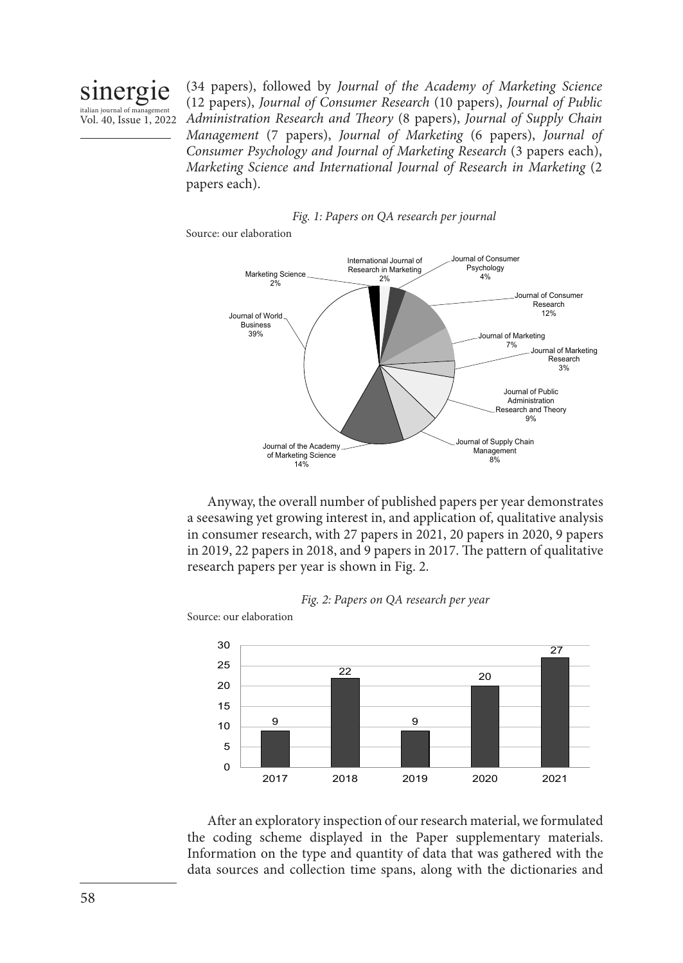sinergie italian journal of management Vol. 40, Issue 1, 2022

(34 papers), followed by *Journal of the Academy of Marketing Science*  (12 papers), *Journal of Consumer Research* (10 papers), *Journal of Public Administration Research and Theory* (8 papers), *Journal of Supply Chain Management* (7 papers), *Journal of Marketing* (6 papers), *Journal of Consumer Psychology and Journal of Marketing Research* (3 papers each), *Marketing Science and International Journal of Research in Marketing* (2 papers each).



Source: our elaboration



Anyway, the overall number of published papers per year demonstrates a seesawing yet growing interest in, and application of, qualitative analysis in consumer research, with 27 papers in 2021, 20 papers in 2020, 9 papers in 2019, 22 papers in 2018, and 9 papers in 2017. The pattern of qualitative research papers per year is shown in Fig. 2.



9 22 9  $20$ 27  $\Omega$ 5 10 15 20 25 30 2017 2018 2019 2020 2021

After an exploratory inspection of our research material, we formulated the coding scheme displayed in the Paper supplementary materials. Information on the type and quantity of data that was gathered with the data sources and collection time spans, along with the dictionaries and

Source: our elaboration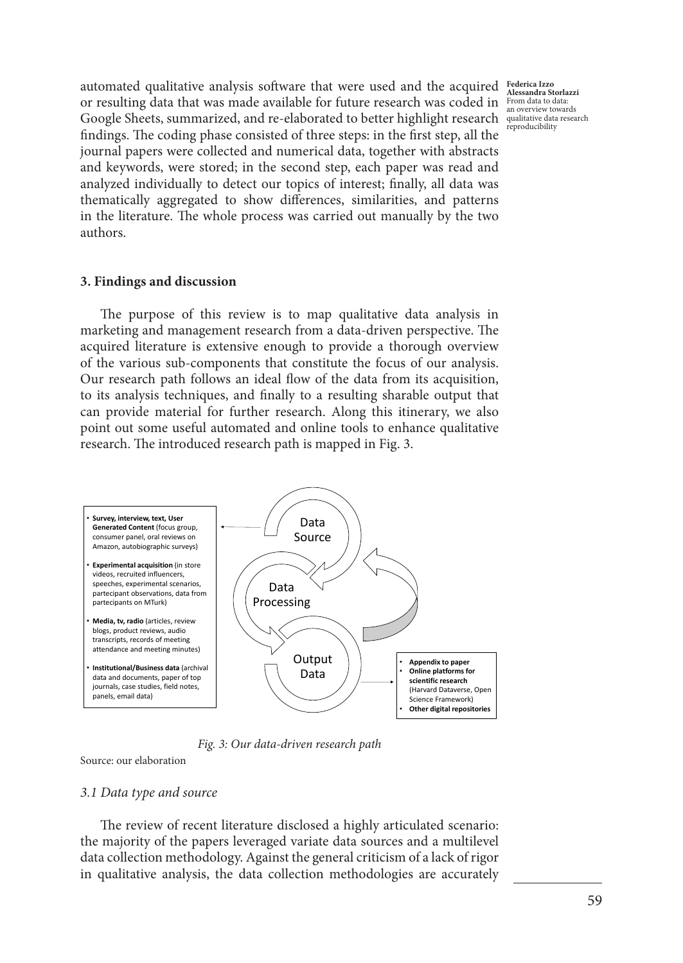automated qualitative analysis software that were used and the acquired **Federica Izzo**  or resulting data that was made available for future research was coded in Google Sheets, summarized, and re-elaborated to better highlight research  $\frac{$  qualitative data research findings. The coding phase consisted of three steps: in the first step, all the journal papers were collected and numerical data, together with abstracts and keywords, were stored; in the second step, each paper was read and analyzed individually to detect our topics of interest; finally, all data was thematically aggregated to show differences, similarities, and patterns in the literature. The whole process was carried out manually by the two authors.

**Alessandra Storlazzi** From data to data: an overview towards reproducibility

#### **3. Findings and discussion**

The purpose of this review is to map qualitative data analysis in marketing and management research from a data-driven perspective. The acquired literature is extensive enough to provide a thorough overview of the various sub-components that constitute the focus of our analysis. Our research path follows an ideal flow of the data from its acquisition, to its analysis techniques, and finally to a resulting sharable output that can provide material for further research. Along this itinerary, we also point out some useful automated and online tools to enhance qualitative research. The introduced research path is mapped in Fig. 3.



*Fig. 3: Our data-driven research path*

Source: our elaboration

#### *3.1 Data type and source*

The review of recent literature disclosed a highly articulated scenario: the majority of the papers leveraged variate data sources and a multilevel data collection methodology. Against the general criticism of a lack of rigor in qualitative analysis, the data collection methodologies are accurately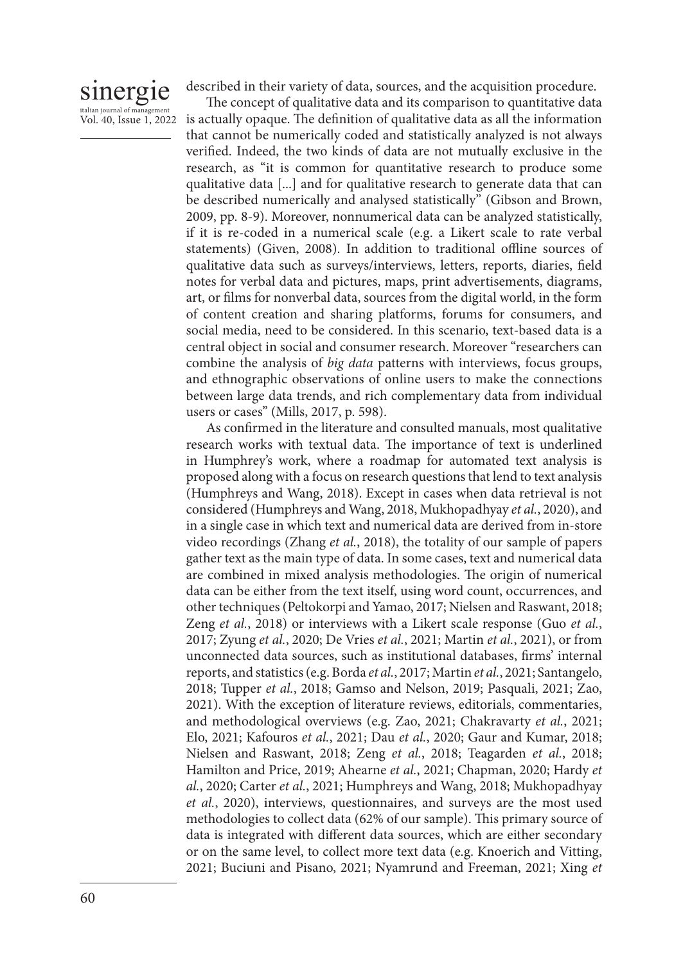#### sinergie italian journal of man Vol. 40, Issue 1, 2022

described in their variety of data, sources, and the acquisition procedure.

The concept of qualitative data and its comparison to quantitative data is actually opaque. The definition of qualitative data as all the information that cannot be numerically coded and statistically analyzed is not always verified. Indeed, the two kinds of data are not mutually exclusive in the research, as "it is common for quantitative research to produce some qualitative data [...] and for qualitative research to generate data that can be described numerically and analysed statistically" (Gibson and Brown, 2009, pp. 8-9). Moreover, nonnumerical data can be analyzed statistically, if it is re-coded in a numerical scale (e.g. a Likert scale to rate verbal statements) (Given, 2008). In addition to traditional offline sources of qualitative data such as surveys/interviews, letters, reports, diaries, field notes for verbal data and pictures, maps, print advertisements, diagrams, art, or films for nonverbal data, sources from the digital world, in the form of content creation and sharing platforms, forums for consumers, and social media, need to be considered. In this scenario, text-based data is a central object in social and consumer research. Moreover "researchers can combine the analysis of *big data* patterns with interviews, focus groups, and ethnographic observations of online users to make the connections between large data trends, and rich complementary data from individual users or cases" (Mills, 2017, p. 598).

As confirmed in the literature and consulted manuals, most qualitative research works with textual data. The importance of text is underlined in Humphrey's work, where a roadmap for automated text analysis is proposed along with a focus on research questions that lend to text analysis (Humphreys and Wang, 2018). Except in cases when data retrieval is not considered (Humphreys and Wang, 2018, Mukhopadhyay *et al.*, 2020), and in a single case in which text and numerical data are derived from in-store video recordings (Zhang *et al.*, 2018), the totality of our sample of papers gather text as the main type of data. In some cases, text and numerical data are combined in mixed analysis methodologies. The origin of numerical data can be either from the text itself, using word count, occurrences, and other techniques (Peltokorpi and Yamao, 2017; Nielsen and Raswant, 2018; Zeng *et al.*, 2018) or interviews with a Likert scale response (Guo *et al.*, 2017; Zyung *et al.*, 2020; De Vries *et al.*, 2021; Martin *et al.*, 2021), or from unconnected data sources, such as institutional databases, firms' internal reports, and statistics (e.g. Borda *et al.*, 2017; Martin *et al.*, 2021; Santangelo, 2018; Tupper *et al.*, 2018; Gamso and Nelson, 2019; Pasquali, 2021; Zao, 2021). With the exception of literature reviews, editorials, commentaries, and methodological overviews (e.g. Zao, 2021; Chakravarty *et al.*, 2021; Elo, 2021; Kafouros *et al.*, 2021; Dau *et al.*, 2020; Gaur and Kumar, 2018; Nielsen and Raswant, 2018; Zeng *et al.*, 2018; Teagarden *et al.*, 2018; Hamilton and Price, 2019; Ahearne *et al.*, 2021; Chapman, 2020; Hardy *et al.*, 2020; Carter *et al.*, 2021; Humphreys and Wang, 2018; Mukhopadhyay *et al.*, 2020), interviews, questionnaires, and surveys are the most used methodologies to collect data (62% of our sample). This primary source of data is integrated with different data sources, which are either secondary or on the same level, to collect more text data (e.g. Knoerich and Vitting, 2021; Buciuni and Pisano, 2021; Nyamrund and Freeman, 2021; Xing *et*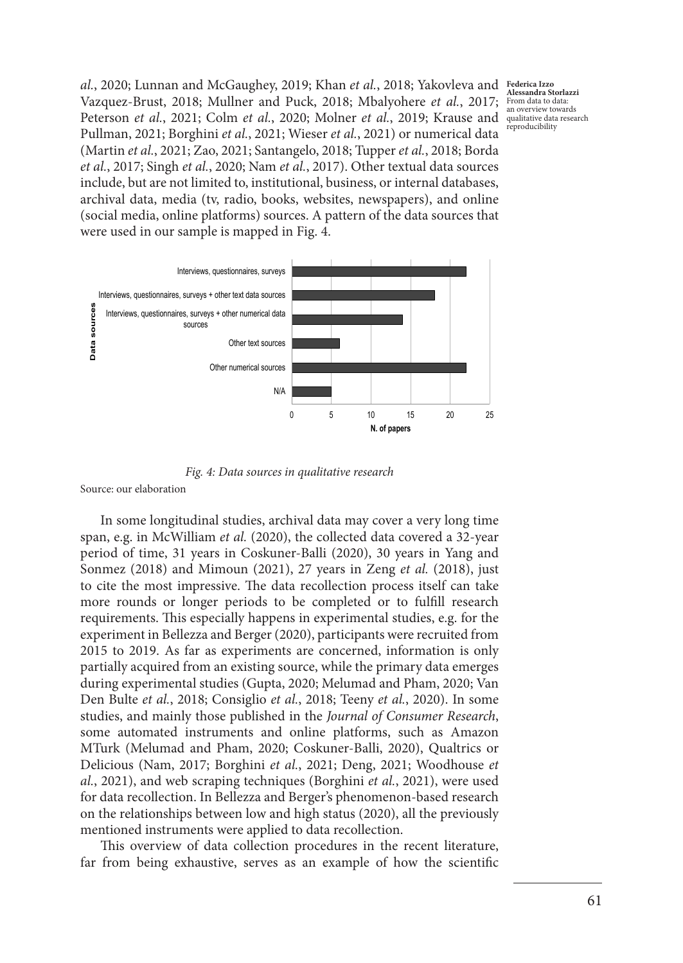*al.*, 2020; Lunnan and McGaughey, 2019; Khan *et al.*, 2018; Yakovleva and Vazquez-Brust, 2018; Mullner and Puck, 2018; Mbalyohere *et al.*, 2017; Peterson *et al.*, 2021; Colm *et al.*, 2020; Molner *et al.*, 2019; Krause and qualitative data research Pullman, 2021; Borghini *et al.*, 2021; Wieser *et al.*, 2021) or numerical data (Martin *et al.*, 2021; Zao, 2021; Santangelo, 2018; Tupper *et al.*, 2018; Borda *et al.*, 2017; Singh *et al.*, 2020; Nam *et al.*, 2017). Other textual data sources include, but are not limited to, institutional, business, or internal databases, archival data, media (tv, radio, books, websites, newspapers), and online (social media, online platforms) sources. A pattern of the data sources that were used in our sample is mapped in Fig. 4.

**Federica Izzo Alessandra Storlazzi** From data to data: an overview towards reproducibility



*Fig. 4: Data sources in qualitative research*

Source: our elaboration

In some longitudinal studies, archival data may cover a very long time span, e.g. in McWilliam *et al.* (2020), the collected data covered a 32-year period of time, 31 years in Coskuner-Balli (2020), 30 years in Yang and Sonmez (2018) and Mimoun (2021), 27 years in Zeng *et al.* (2018), just to cite the most impressive. The data recollection process itself can take more rounds or longer periods to be completed or to fulfill research requirements. This especially happens in experimental studies, e.g. for the experiment in Bellezza and Berger (2020), participants were recruited from 2015 to 2019. As far as experiments are concerned, information is only partially acquired from an existing source, while the primary data emerges during experimental studies (Gupta, 2020; Melumad and Pham, 2020; Van Den Bulte *et al.*, 2018; Consiglio *et al.*, 2018; Teeny *et al.*, 2020). In some studies, and mainly those published in the *Journal of Consumer Research*, some automated instruments and online platforms, such as Amazon MTurk (Melumad and Pham, 2020; Coskuner-Balli, 2020), Qualtrics or Delicious (Nam, 2017; Borghini *et al.*, 2021; Deng, 2021; Woodhouse *et al.*, 2021), and web scraping techniques (Borghini *et al.*, 2021), were used for data recollection. In Bellezza and Berger's phenomenon-based research on the relationships between low and high status (2020), all the previously mentioned instruments were applied to data recollection.

This overview of data collection procedures in the recent literature, far from being exhaustive, serves as an example of how the scientific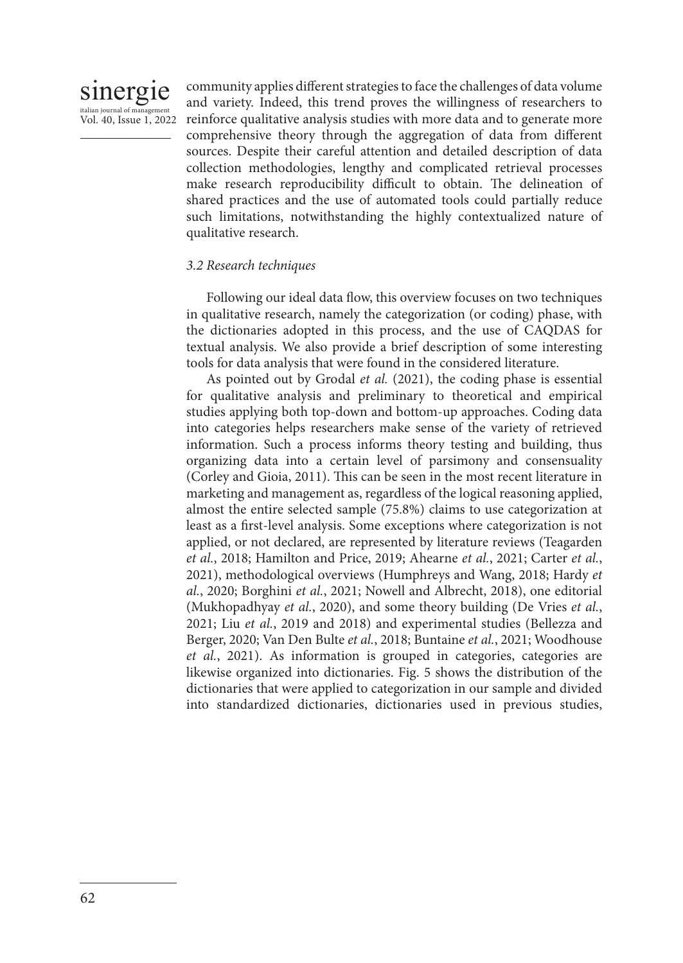

community applies different strategies to face the challenges of data volume and variety. Indeed, this trend proves the willingness of researchers to reinforce qualitative analysis studies with more data and to generate more comprehensive theory through the aggregation of data from different sources. Despite their careful attention and detailed description of data collection methodologies, lengthy and complicated retrieval processes make research reproducibility difficult to obtain. The delineation of shared practices and the use of automated tools could partially reduce such limitations, notwithstanding the highly contextualized nature of qualitative research.

#### *3.2 Research techniques*

Following our ideal data flow, this overview focuses on two techniques in qualitative research, namely the categorization (or coding) phase, with the dictionaries adopted in this process, and the use of CAQDAS for textual analysis. We also provide a brief description of some interesting tools for data analysis that were found in the considered literature.

As pointed out by Grodal *et al.* (2021), the coding phase is essential for qualitative analysis and preliminary to theoretical and empirical studies applying both top-down and bottom-up approaches. Coding data into categories helps researchers make sense of the variety of retrieved information. Such a process informs theory testing and building, thus organizing data into a certain level of parsimony and consensuality (Corley and Gioia, 2011). This can be seen in the most recent literature in marketing and management as, regardless of the logical reasoning applied, almost the entire selected sample (75.8%) claims to use categorization at least as a first-level analysis. Some exceptions where categorization is not applied, or not declared, are represented by literature reviews (Teagarden *et al.*, 2018; Hamilton and Price, 2019; Ahearne *et al.*, 2021; Carter *et al.*, 2021), methodological overviews (Humphreys and Wang, 2018; Hardy *et al.*, 2020; Borghini *et al.*, 2021; Nowell and Albrecht, 2018), one editorial (Mukhopadhyay *et al.*, 2020), and some theory building (De Vries *et al.*, 2021; Liu *et al.*, 2019 and 2018) and experimental studies (Bellezza and Berger, 2020; Van Den Bulte *et al.*, 2018; Buntaine *et al.*, 2021; Woodhouse *et al.*, 2021). As information is grouped in categories, categories are likewise organized into dictionaries. Fig. 5 shows the distribution of the dictionaries that were applied to categorization in our sample and divided into standardized dictionaries, dictionaries used in previous studies,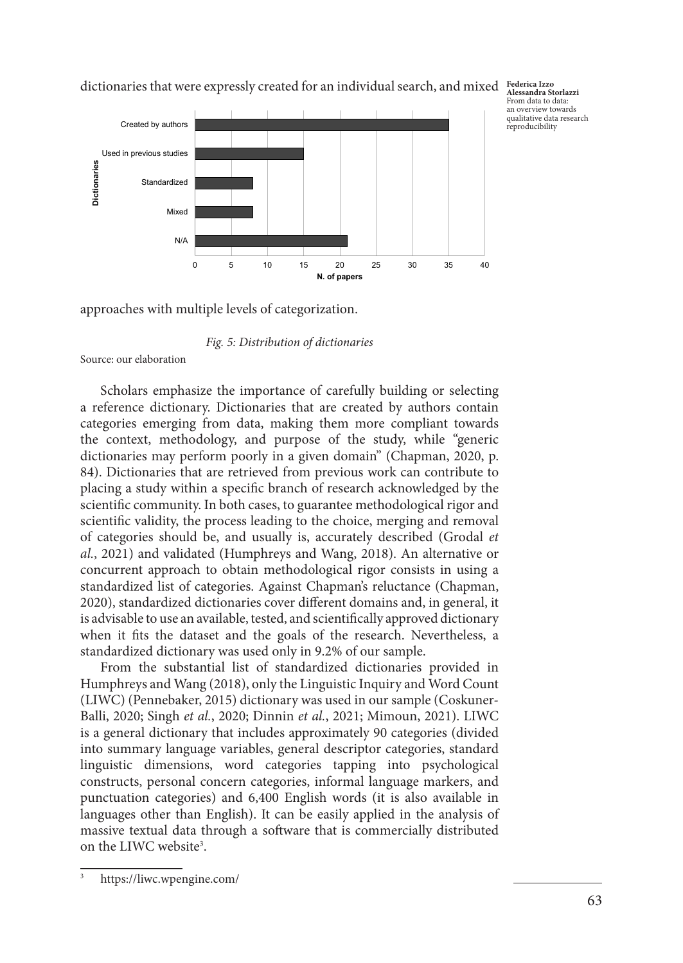

dictionaries that were expressly created for an individual search, and mixed **Federica Izzo Alessandra Storlazzi**

From data to data: an overview towards qualitative data research reproducibility

approaches with multiple levels of categorization.

#### *Fig. 5: Distribution of dictionaries*

Source: our elaboration

Scholars emphasize the importance of carefully building or selecting a reference dictionary. Dictionaries that are created by authors contain categories emerging from data, making them more compliant towards the context, methodology, and purpose of the study, while "generic dictionaries may perform poorly in a given domain" (Chapman, 2020, p. 84). Dictionaries that are retrieved from previous work can contribute to placing a study within a specific branch of research acknowledged by the scientific community. In both cases, to guarantee methodological rigor and scientific validity, the process leading to the choice, merging and removal of categories should be, and usually is, accurately described (Grodal *et al.*, 2021) and validated (Humphreys and Wang, 2018). An alternative or concurrent approach to obtain methodological rigor consists in using a standardized list of categories. Against Chapman's reluctance (Chapman, 2020), standardized dictionaries cover different domains and, in general, it is advisable to use an available, tested, and scientifically approved dictionary when it fits the dataset and the goals of the research. Nevertheless, a standardized dictionary was used only in 9.2% of our sample.

From the substantial list of standardized dictionaries provided in Humphreys and Wang (2018), only the Linguistic Inquiry and Word Count (LIWC) (Pennebaker, 2015) dictionary was used in our sample (Coskuner-Balli, 2020; Singh *et al.*, 2020; Dinnin *et al.*, 2021; Mimoun, 2021). LIWC is a general dictionary that includes approximately 90 categories (divided into summary language variables, general descriptor categories, standard linguistic dimensions, word categories tapping into psychological constructs, personal concern categories, informal language markers, and punctuation categories) and 6,400 English words (it is also available in languages other than English). It can be easily applied in the analysis of massive textual data through a software that is commercially distributed on the LIWC website<sup>3</sup>.

<sup>3</sup> https://liwc.wpengine.com/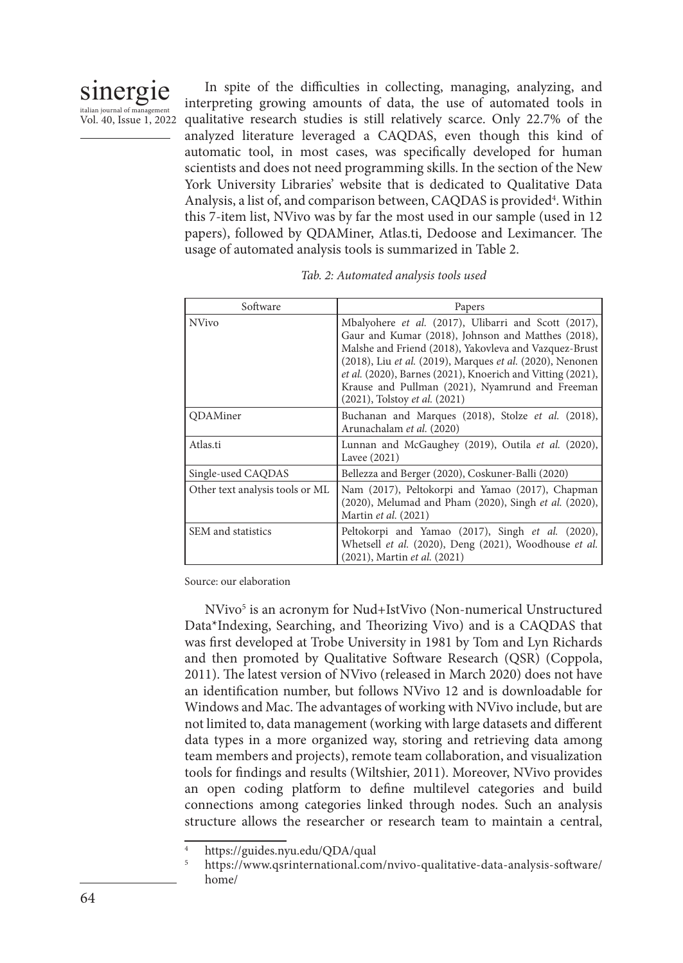

In spite of the difficulties in collecting, managing, analyzing, and interpreting growing amounts of data, the use of automated tools in qualitative research studies is still relatively scarce. Only 22.7% of the analyzed literature leveraged a CAQDAS, even though this kind of automatic tool, in most cases, was specifically developed for human scientists and does not need programming skills. In the section of the New York University Libraries' website that is dedicated to Qualitative Data Analysis, a list of, and comparison between, CAQDAS is provided<sup>4</sup>. Within this 7-item list, NVivo was by far the most used in our sample (used in 12 papers), followed by QDAMiner, Atlas.ti, Dedoose and Leximancer. The usage of automated analysis tools is summarized in Table 2.

| Software                        | Papers                                                                                                                                                                                                                                                                                                                                                                             |  |
|---------------------------------|------------------------------------------------------------------------------------------------------------------------------------------------------------------------------------------------------------------------------------------------------------------------------------------------------------------------------------------------------------------------------------|--|
| <b>NVivo</b>                    | Mbalyohere et al. (2017), Ulibarri and Scott (2017),<br>Gaur and Kumar (2018), Johnson and Matthes (2018),<br>Malshe and Friend (2018), Yakovleva and Vazquez-Brust<br>(2018), Liu et al. (2019), Marques et al. (2020), Nenonen<br>et al. (2020), Barnes (2021), Knoerich and Vitting (2021),<br>Krause and Pullman (2021), Nyamrund and Freeman<br>(2021), Tolstoy et al. (2021) |  |
| <b>ODAMiner</b>                 | Buchanan and Marques (2018), Stolze et al. (2018),<br>Arunachalam et al. (2020)                                                                                                                                                                                                                                                                                                    |  |
| Atlas.ti                        | Lunnan and McGaughey (2019), Outila et al. (2020),<br>Lavee (2021)                                                                                                                                                                                                                                                                                                                 |  |
| Single-used CAQDAS              | Bellezza and Berger (2020), Coskuner-Balli (2020)                                                                                                                                                                                                                                                                                                                                  |  |
| Other text analysis tools or ML | Nam (2017), Peltokorpi and Yamao (2017), Chapman<br>(2020), Melumad and Pham (2020), Singh et al. (2020),<br>Martin et al. (2021)                                                                                                                                                                                                                                                  |  |
| SEM and statistics              | Peltokorpi and Yamao (2017), Singh et al. (2020),<br>Whetsell et al. (2020), Deng (2021), Woodhouse et al.<br>(2021), Martin et al. (2021)                                                                                                                                                                                                                                         |  |

| Tab. 2: Automated analysis tools used |  |  |  |
|---------------------------------------|--|--|--|
|---------------------------------------|--|--|--|

Source: our elaboration

NVivo5 is an acronym for Nud+IstVivo (Non-numerical Unstructured Data\*Indexing, Searching, and Theorizing Vivo) and is a CAQDAS that was first developed at Trobe University in 1981 by Tom and Lyn Richards and then promoted by Qualitative Software Research (QSR) (Coppola, 2011). The latest version of NVivo (released in March 2020) does not have an identification number, but follows NVivo 12 and is downloadable for Windows and Mac. The advantages of working with NVivo include, but are not limited to, data management (working with large datasets and different data types in a more organized way, storing and retrieving data among team members and projects), remote team collaboration, and visualization tools for findings and results (Wiltshier, 2011). Moreover, NVivo provides an open coding platform to define multilevel categories and build connections among categories linked through nodes. Such an analysis structure allows the researcher or research team to maintain a central,

https://guides.nyu.edu/QDA/qual

<sup>5</sup> https://www.qsrinternational.com/nvivo-qualitative-data-analysis-software/ home/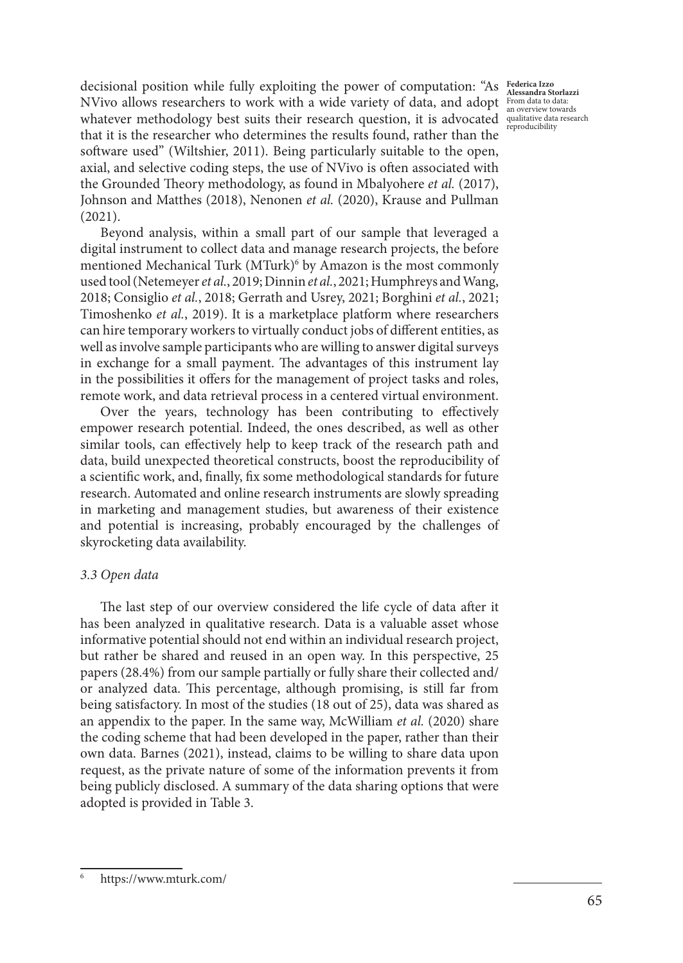decisional position while fully exploiting the power of computation: "As NVivo allows researchers to work with a wide variety of data, and adopt From data to data: an overview towards whatever methodology best suits their research question, it is advocated qualitative data research that it is the researcher who determines the results found, rather than the software used" (Wiltshier, 2011). Being particularly suitable to the open, axial, and selective coding steps, the use of NVivo is often associated with the Grounded Theory methodology, as found in Mbalyohere *et al.* (2017), Johnson and Matthes (2018), Nenonen *et al.* (2020), Krause and Pullman (2021).

Beyond analysis, within a small part of our sample that leveraged a digital instrument to collect data and manage research projects, the before mentioned Mechanical Turk (MTurk)<sup>6</sup> by Amazon is the most commonly used tool (Netemeyer *et al.*, 2019; Dinnin *et al.*, 2021; Humphreys and Wang, 2018; Consiglio *et al.*, 2018; Gerrath and Usrey, 2021; Borghini *et al.*, 2021; Timoshenko *et al.*, 2019). It is a marketplace platform where researchers can hire temporary workers to virtually conduct jobs of different entities, as well as involve sample participants who are willing to answer digital surveys in exchange for a small payment. The advantages of this instrument lay in the possibilities it offers for the management of project tasks and roles, remote work, and data retrieval process in a centered virtual environment.

Over the years, technology has been contributing to effectively empower research potential. Indeed, the ones described, as well as other similar tools, can effectively help to keep track of the research path and data, build unexpected theoretical constructs, boost the reproducibility of a scientific work, and, finally, fix some methodological standards for future research. Automated and online research instruments are slowly spreading in marketing and management studies, but awareness of their existence and potential is increasing, probably encouraged by the challenges of skyrocketing data availability.

#### *3.3 Open data*

The last step of our overview considered the life cycle of data after it has been analyzed in qualitative research. Data is a valuable asset whose informative potential should not end within an individual research project, but rather be shared and reused in an open way. In this perspective, 25 papers (28.4%) from our sample partially or fully share their collected and/ or analyzed data. This percentage, although promising, is still far from being satisfactory. In most of the studies (18 out of 25), data was shared as an appendix to the paper. In the same way, McWilliam *et al.* (2020) share the coding scheme that had been developed in the paper, rather than their own data. Barnes (2021), instead, claims to be willing to share data upon request, as the private nature of some of the information prevents it from being publicly disclosed. A summary of the data sharing options that were adopted is provided in Table 3.

**Federica Izzo Alessandra Storlazzi** reproducibility

<sup>6</sup> https://www.mturk.com/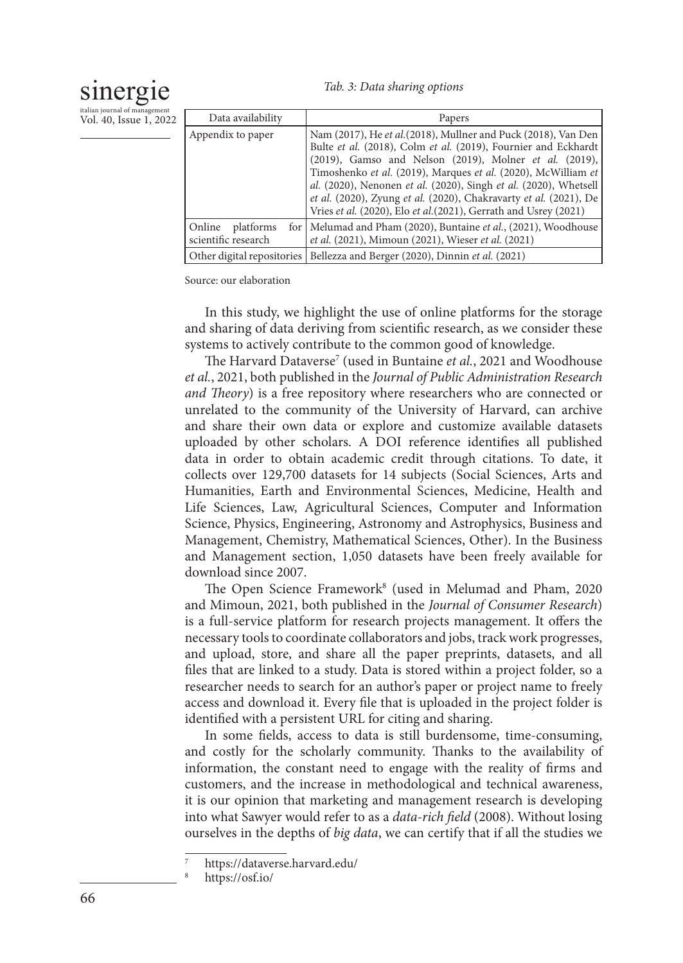# sinergie

*Tab. 3: Data sharing options*

| italian journal of management |  |  |
|-------------------------------|--|--|
| Vol. 40, Issue 1, 2022        |  |  |

| Data availability                          | Papers                                                                                                                                                                                                                                                                                                                                                                                                                                                                   |
|--------------------------------------------|--------------------------------------------------------------------------------------------------------------------------------------------------------------------------------------------------------------------------------------------------------------------------------------------------------------------------------------------------------------------------------------------------------------------------------------------------------------------------|
| Appendix to paper                          | Nam (2017), He et al. (2018), Mullner and Puck (2018), Van Den<br>Bulte et al. (2018), Colm et al. (2019), Fournier and Eckhardt<br>(2019), Gamso and Nelson (2019), Molner et al. (2019),<br>Timoshenko et al. (2019), Marques et al. (2020), McWilliam et<br>al. (2020), Nenonen et al. (2020), Singh et al. (2020), Whetsell<br>et al. (2020), Zyung et al. (2020), Chakravarty et al. (2021), De<br>Vries et al. (2020), Elo et al. (2021), Gerrath and Usrey (2021) |
| platforms<br>Online<br>scientific research | for   Melumad and Pham (2020), Buntaine et al., (2021), Woodhouse<br><i>et al.</i> (2021), Mimoun (2021), Wieser <i>et al.</i> (2021)                                                                                                                                                                                                                                                                                                                                    |
|                                            | Other digital repositories   Bellezza and Berger (2020), Dinnin et al. (2021)                                                                                                                                                                                                                                                                                                                                                                                            |

Source: our elaboration

In this study, we highlight the use of online platforms for the storage and sharing of data deriving from scientific research, as we consider these systems to actively contribute to the common good of knowledge.

The Harvard Dataverse7 (used in Buntaine *et al.*, 2021 and Woodhouse *et al.*, 2021, both published in the *Journal of Public Administration Research and Theory*) is a free repository where researchers who are connected or unrelated to the community of the University of Harvard, can archive and share their own data or explore and customize available datasets uploaded by other scholars. A DOI reference identifies all published data in order to obtain academic credit through citations. To date, it collects over 129,700 datasets for 14 subjects (Social Sciences, Arts and Humanities, Earth and Environmental Sciences, Medicine, Health and Life Sciences, Law, Agricultural Sciences, Computer and Information Science, Physics, Engineering, Astronomy and Astrophysics, Business and Management, Chemistry, Mathematical Sciences, Other). In the Business and Management section, 1,050 datasets have been freely available for download since 2007.

The Open Science Framework<sup>8</sup> (used in Melumad and Pham, 2020 and Mimoun, 2021, both published in the *Journal of Consumer Research*) is a full-service platform for research projects management. It offers the necessary tools to coordinate collaborators and jobs, track work progresses, and upload, store, and share all the paper preprints, datasets, and all files that are linked to a study. Data is stored within a project folder, so a researcher needs to search for an author's paper or project name to freely access and download it. Every file that is uploaded in the project folder is identified with a persistent URL for citing and sharing.

In some fields, access to data is still burdensome, time-consuming, and costly for the scholarly community. Thanks to the availability of information, the constant need to engage with the reality of firms and customers, and the increase in methodological and technical awareness, it is our opinion that marketing and management research is developing into what Sawyer would refer to as a *data-rich field* (2008). Without losing ourselves in the depths of *big data*, we can certify that if all the studies we

<sup>7</sup> https://dataverse.harvard.edu/

https://osf.io/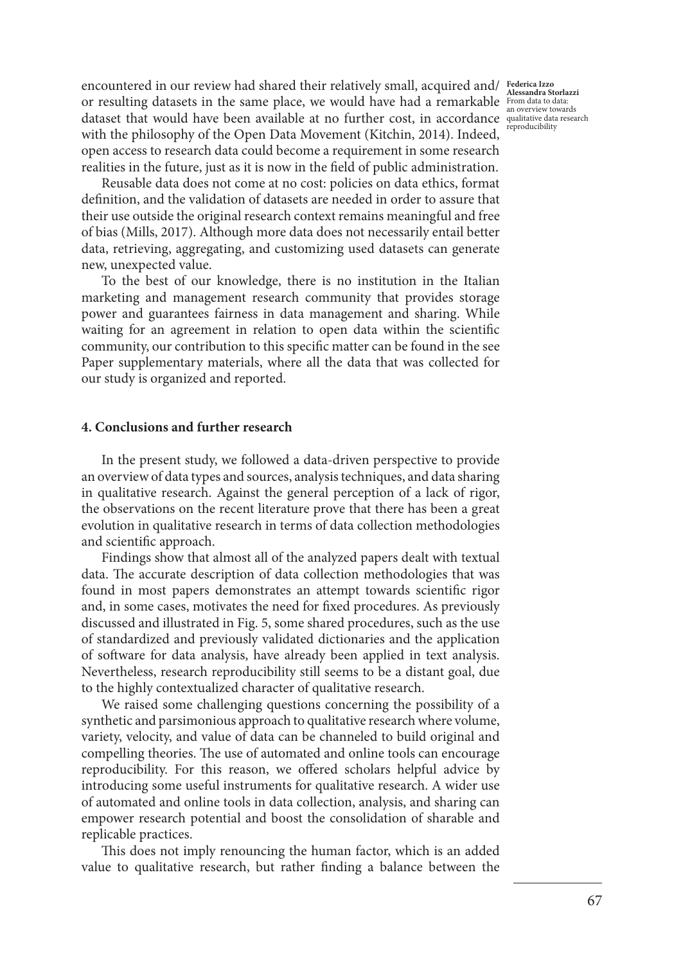reproducibility

encountered in our review had shared their relatively small, acquired and/ **Federica Izzo**  or resulting datasets in the same place, we would have had a remarkable **From data to data:** Alessandra Storlazzi<br>
Alessandra Storlazzi dataset that would have been available at no further cost, in accordance qualitative data research with the philosophy of the Open Data Movement (Kitchin, 2014). Indeed, open access to research data could become a requirement in some research realities in the future, just as it is now in the field of public administration.

Reusable data does not come at no cost: policies on data ethics, format definition, and the validation of datasets are needed in order to assure that their use outside the original research context remains meaningful and free of bias (Mills, 2017). Although more data does not necessarily entail better data, retrieving, aggregating, and customizing used datasets can generate new, unexpected value.

To the best of our knowledge, there is no institution in the Italian marketing and management research community that provides storage power and guarantees fairness in data management and sharing. While waiting for an agreement in relation to open data within the scientific community, our contribution to this specific matter can be found in the see Paper supplementary materials, where all the data that was collected for our study is organized and reported.

#### **4. Conclusions and further research**

In the present study, we followed a data-driven perspective to provide an overview of data types and sources, analysis techniques, and data sharing in qualitative research. Against the general perception of a lack of rigor, the observations on the recent literature prove that there has been a great evolution in qualitative research in terms of data collection methodologies and scientific approach.

Findings show that almost all of the analyzed papers dealt with textual data. The accurate description of data collection methodologies that was found in most papers demonstrates an attempt towards scientific rigor and, in some cases, motivates the need for fixed procedures. As previously discussed and illustrated in Fig. 5, some shared procedures, such as the use of standardized and previously validated dictionaries and the application of software for data analysis, have already been applied in text analysis. Nevertheless, research reproducibility still seems to be a distant goal, due to the highly contextualized character of qualitative research.

We raised some challenging questions concerning the possibility of a synthetic and parsimonious approach to qualitative research where volume, variety, velocity, and value of data can be channeled to build original and compelling theories. The use of automated and online tools can encourage reproducibility. For this reason, we offered scholars helpful advice by introducing some useful instruments for qualitative research. A wider use of automated and online tools in data collection, analysis, and sharing can empower research potential and boost the consolidation of sharable and replicable practices.

This does not imply renouncing the human factor, which is an added value to qualitative research, but rather finding a balance between the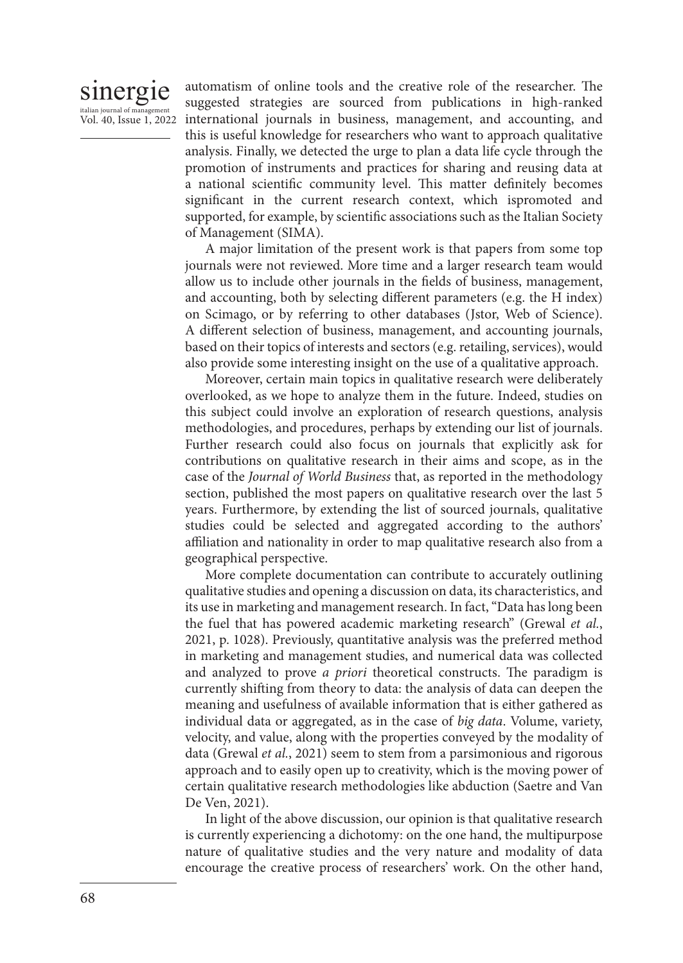#### sinergie italian journal of mana Vol. 40, Issue 1, 2022

automatism of online tools and the creative role of the researcher. The suggested strategies are sourced from publications in high-ranked international journals in business, management, and accounting, and this is useful knowledge for researchers who want to approach qualitative analysis. Finally, we detected the urge to plan a data life cycle through the promotion of instruments and practices for sharing and reusing data at a national scientific community level. This matter definitely becomes significant in the current research context, which ispromoted and supported, for example, by scientific associations such as the Italian Society of Management (SIMA).

A major limitation of the present work is that papers from some top journals were not reviewed. More time and a larger research team would allow us to include other journals in the fields of business, management, and accounting, both by selecting different parameters (e.g. the H index) on Scimago, or by referring to other databases (Jstor, Web of Science). A different selection of business, management, and accounting journals, based on their topics of interests and sectors (e.g. retailing, services), would also provide some interesting insight on the use of a qualitative approach.

Moreover, certain main topics in qualitative research were deliberately overlooked, as we hope to analyze them in the future. Indeed, studies on this subject could involve an exploration of research questions, analysis methodologies, and procedures, perhaps by extending our list of journals. Further research could also focus on journals that explicitly ask for contributions on qualitative research in their aims and scope, as in the case of the *Journal of World Business* that, as reported in the methodology section, published the most papers on qualitative research over the last 5 years. Furthermore, by extending the list of sourced journals, qualitative studies could be selected and aggregated according to the authors' affiliation and nationality in order to map qualitative research also from a geographical perspective.

More complete documentation can contribute to accurately outlining qualitative studies and opening a discussion on data, its characteristics, and its use in marketing and management research. In fact, "Data has long been the fuel that has powered academic marketing research" (Grewal *et al.*, 2021, p. 1028). Previously, quantitative analysis was the preferred method in marketing and management studies, and numerical data was collected and analyzed to prove *a priori* theoretical constructs. The paradigm is currently shifting from theory to data: the analysis of data can deepen the meaning and usefulness of available information that is either gathered as individual data or aggregated, as in the case of *big data*. Volume, variety, velocity, and value, along with the properties conveyed by the modality of data (Grewal *et al.*, 2021) seem to stem from a parsimonious and rigorous approach and to easily open up to creativity, which is the moving power of certain qualitative research methodologies like abduction (Saetre and Van De Ven, 2021).

In light of the above discussion, our opinion is that qualitative research is currently experiencing a dichotomy: on the one hand, the multipurpose nature of qualitative studies and the very nature and modality of data encourage the creative process of researchers' work. On the other hand,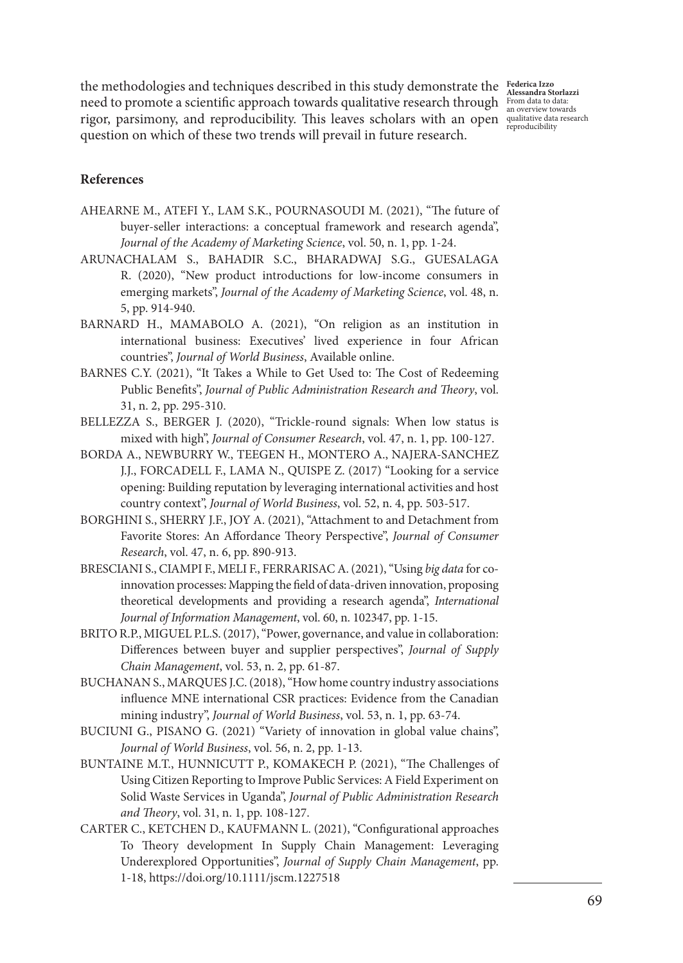the methodologies and techniques described in this study demonstrate the **Federica Izzo**  need to promote a scientific approach towards qualitative research through  $\frac{From data to data}{\text{an overview towards}}$ rigor, parsimony, and reproducibility. This leaves scholars with an open qualitative data research question on which of these two trends will prevail in future research.

**Alessandra Storlazzi** reproducibility

#### **References**

- AHEARNE M., ATEFI Y., LAM S.K., POURNASOUDI M. (2021), "The future of buyer-seller interactions: a conceptual framework and research agenda", *Journal of the Academy of Marketing Science*, vol. 50, n. 1, pp. 1-24.
- ARUNACHALAM S., BAHADIR S.C., BHARADWAJ S.G., GUESALAGA R. (2020), "New product introductions for low-income consumers in emerging markets", *Journal of the Academy of Marketing Science*, vol. 48, n. 5, pp. 914-940.
- BARNARD H., MAMABOLO A. (2021), "On religion as an institution in international business: Executives' lived experience in four African countries", *Journal of World Business*, Available online.
- BARNES C.Y. (2021), "It Takes a While to Get Used to: The Cost of Redeeming Public Benefits", *Journal of Public Administration Research and Theory*, vol. 31, n. 2, pp. 295-310.
- BELLEZZA S., BERGER J. (2020), "Trickle-round signals: When low status is mixed with high", *Journal of Consumer Research*, vol. 47, n. 1, pp. 100-127.
- BORDA A., NEWBURRY W., TEEGEN H., MONTERO A., NAJERA-SANCHEZ J.J., FORCADELL F., LAMA N., QUISPE Z. (2017) "Looking for a service opening: Building reputation by leveraging international activities and host country context", *Journal of World Business*, vol. 52, n. 4, pp. 503-517.
- BORGHINI S., SHERRY J.F., JOY A. (2021), "Attachment to and Detachment from Favorite Stores: An Affordance Theory Perspective", *Journal of Consumer Research*, vol. 47, n. 6, pp. 890-913.
- BRESCIANI S., CIAMPI F., MELI F., FERRARISAC A. (2021), "Using *big data* for coinnovation processes: Mapping the field of data-driven innovation, proposing theoretical developments and providing a research agenda", *International Journal of Information Management*, vol. 60, n. 102347, pp. 1-15.
- BRITO R.P., MIGUEL P.L.S. (2017), "Power, governance, and value in collaboration: Differences between buyer and supplier perspectives", *Journal of Supply Chain Management*, vol. 53, n. 2, pp. 61-87.
- BUCHANAN S., MARQUES J.C. (2018), "How home country industry associations influence MNE international CSR practices: Evidence from the Canadian mining industry", *Journal of World Business*, vol. 53, n. 1, pp. 63-74.
- BUCIUNI G., PISANO G. (2021) "Variety of innovation in global value chains", *Journal of World Business*, vol. 56, n. 2, pp. 1-13.
- BUNTAINE M.T., HUNNICUTT P., KOMAKECH P. (2021), "The Challenges of Using Citizen Reporting to Improve Public Services: A Field Experiment on Solid Waste Services in Uganda", *Journal of Public Administration Research and Theory*, vol. 31, n. 1, pp. 108-127.
- CARTER C., KETCHEN D., KAUFMANN L. (2021), "Configurational approaches To Theory development In Supply Chain Management: Leveraging Underexplored Opportunities", *Journal of Supply Chain Management*, pp. 1-18, https://doi.org/10.1111/jscm.1227518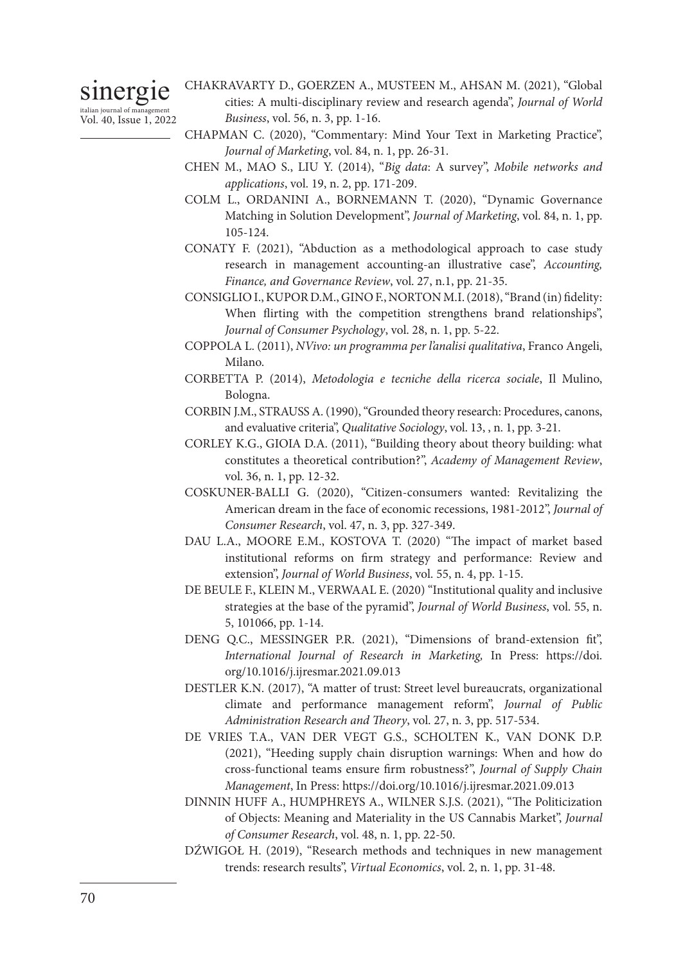sinergie italian journal of management

Vol. 40, Issue 1, 2022

CHAKRAVARTY D., GOERZEN A., MUSTEEN M., AHSAN M. (2021), "Global cities: A multi-disciplinary review and research agenda", *Journal of World Business*, vol. 56, n. 3, pp. 1-16.

- CHAPMAN C. (2020), "Commentary: Mind Your Text in Marketing Practice", *Journal of Marketing*, vol. 84, n. 1, pp. 26-31.
- CHEN M., MAO S., LIU Y. (2014), "*Big data*: A survey", *Mobile networks and applications*, vol. 19, n. 2, pp. 171-209.
- COLM L., ORDANINI A., BORNEMANN T. (2020), "Dynamic Governance Matching in Solution Development", *Journal of Marketing*, vol. 84, n. 1, pp. 105-124.
- CONATY F. (2021), "Abduction as a methodological approach to case study research in management accounting-an illustrative case", *Accounting, Finance, and Governance Review*, vol. 27, n.1, pp. 21-35.
- CONSIGLIO I., KUPOR D.M., GINO F., NORTON M.I. (2018), "Brand (in) fidelity: When flirting with the competition strengthens brand relationships", *Journal of Consumer Psychology*, vol. 28, n. 1, pp. 5-22.
- COPPOLA L. (2011), *NVivo: un programma per l'analisi qualitativa*, Franco Angeli, Milano.
- CORBETTA P. (2014), *Metodologia e tecniche della ricerca sociale*, Il Mulino, Bologna.
- CORBIN J.M., STRAUSS A. (1990), "Grounded theory research: Procedures, canons, and evaluative criteria", *Qualitative Sociology*, vol. 13, , n. 1, pp. 3-21.
- CORLEY K.G., GIOIA D.A. (2011), "Building theory about theory building: what constitutes a theoretical contribution?", *Academy of Management Review*, vol. 36, n. 1, pp. 12-32.
- COSKUNER-BALLI G. (2020), "Citizen-consumers wanted: Revitalizing the American dream in the face of economic recessions, 1981-2012", *Journal of Consumer Research*, vol. 47, n. 3, pp. 327-349.
- DAU L.A., MOORE E.M., KOSTOVA T. (2020) "The impact of market based institutional reforms on firm strategy and performance: Review and extension", *Journal of World Business*, vol. 55, n. 4, pp. 1-15.
- DE BEULE F., KLEIN M., VERWAAL E. (2020) "Institutional quality and inclusive strategies at the base of the pyramid", *Journal of World Business*, vol. 55, n. 5, 101066, pp. 1-14.
- DENG Q.C., MESSINGER P.R. (2021), "Dimensions of brand-extension fit", *International Journal of Research in Marketing,* In Press: https://doi. org/10.1016/j.ijresmar.2021.09.013
- DESTLER K.N. (2017), "A matter of trust: Street level bureaucrats, organizational climate and performance management reform", *Journal of Public Administration Research and Theory*, vol. 27, n. 3, pp. 517-534.
- DE VRIES T.A., VAN DER VEGT G.S., SCHOLTEN K., VAN DONK D.P. (2021), "Heeding supply chain disruption warnings: When and how do cross‐functional teams ensure firm robustness?", *Journal of Supply Chain Management*, In Press: https://doi.org/10.1016/j.ijresmar.2021.09.013
- DINNIN HUFF A., HUMPHREYS A., WILNER S.J.S. (2021), "The Politicization of Objects: Meaning and Materiality in the US Cannabis Market", *Journal of Consumer Research*, vol. 48, n. 1, pp. 22-50.
- DŹWIGOŁ H. (2019), "Research methods and techniques in new management trends: research results", *Virtual Economics*, vol. 2, n. 1, pp. 31-48.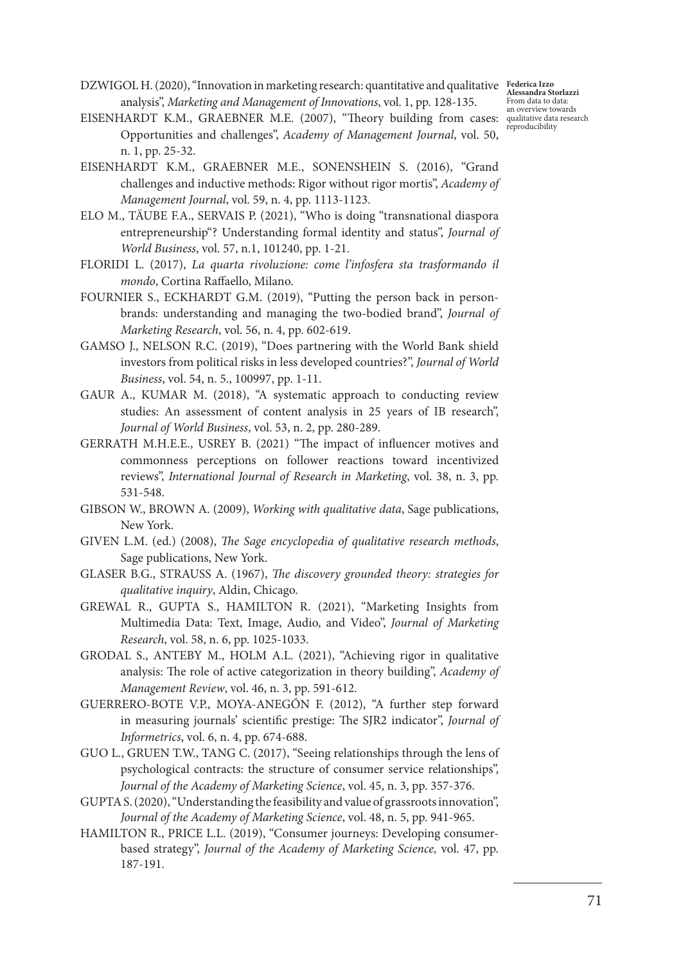DZWIGOL H. (2020), "Innovation in marketing research: quantitative and qualitative **Federica Izzo**  analysis", *Marketing and Management of Innovations*, vol. 1, pp. 128-135.

**Alessandra Storlazzi** From data to data:

- EISENHARDT K.M., GRAEBNER M.E. (2007), "Theory building from cases: qualitative data research reproducibility Opportunities and challenges", *Academy of Management Journal*, vol. 50, n. 1, pp. 25-32.
- EISENHARDT K.M., GRAEBNER M.E., SONENSHEIN S. (2016), "Grand challenges and inductive methods: Rigor without rigor mortis", *Academy of Management Journal*, vol. 59, n. 4, pp. 1113-1123.
- ELO M., TÄUBE F.A., SERVAIS P. (2021), "Who is doing "transnational diaspora entrepreneurship"? Understanding formal identity and status", *Journal of World Business*, vol. 57, n.1, 101240, pp. 1-21.
- FLORIDI L. (2017), *La quarta rivoluzione: come l'infosfera sta trasformando il mondo*, Cortina Raffaello, Milano.
- FOURNIER S., ECKHARDT G.M. (2019), "Putting the person back in personbrands: understanding and managing the two-bodied brand", *Journal of Marketing Research*, vol. 56, n. 4, pp. 602-619.
- GAMSO J., NELSON R.C. (2019), "Does partnering with the World Bank shield investors from political risks in less developed countries?", *Journal of World Business*, vol. 54, n. 5., 100997, pp. 1-11.
- GAUR A., KUMAR M. (2018), "A systematic approach to conducting review studies: An assessment of content analysis in 25 years of IB research", *Journal of World Business*, vol. 53, n. 2, pp. 280-289.
- GERRATH M.H.E.E., USREY B. (2021) "The impact of influencer motives and commonness perceptions on follower reactions toward incentivized reviews", *International Journal of Research in Marketing*, vol. 38, n. 3, pp. 531-548.
- GIBSON W., BROWN A. (2009), *Working with qualitative data*, Sage publications, New York.
- GIVEN L.M. (ed.) (2008), *The Sage encyclopedia of qualitative research methods*, Sage publications, New York.
- GLASER B.G., STRAUSS A. (1967), *The discovery grounded theory: strategies for qualitative inquiry*, Aldin, Chicago.
- GREWAL R., GUPTA S., HAMILTON R. (2021), "Marketing Insights from Multimedia Data: Text, Image, Audio, and Video", *Journal of Marketing Research*, vol. 58, n. 6, pp. 1025-1033.
- GRODAL S., ANTEBY M., HOLM A.L. (2021), "Achieving rigor in qualitative analysis: The role of active categorization in theory building", *Academy of Management Review*, vol. 46, n. 3, pp. 591-612.
- GUERRERO-BOTE V.P., MOYA-ANEGÓN F. (2012), "A further step forward in measuring journals' scientific prestige: The SJR2 indicator", *Journal of Informetrics*, vol. 6, n. 4, pp. 674-688.
- GUO L., GRUEN T.W., TANG C. (2017), "Seeing relationships through the lens of psychological contracts: the structure of consumer service relationships", *Journal of the Academy of Marketing Science*, vol. 45, n. 3, pp. 357-376.
- GUPTA S. (2020), "Understanding the feasibility and value of grassroots innovation", *Journal of the Academy of Marketing Science*, vol. 48, n. 5, pp. 941-965.
- HAMILTON R., PRICE L.L. (2019), "Consumer journeys: Developing consumerbased strategy", *Journal of the Academy of Marketing Science,* vol. 47, pp. 187-191.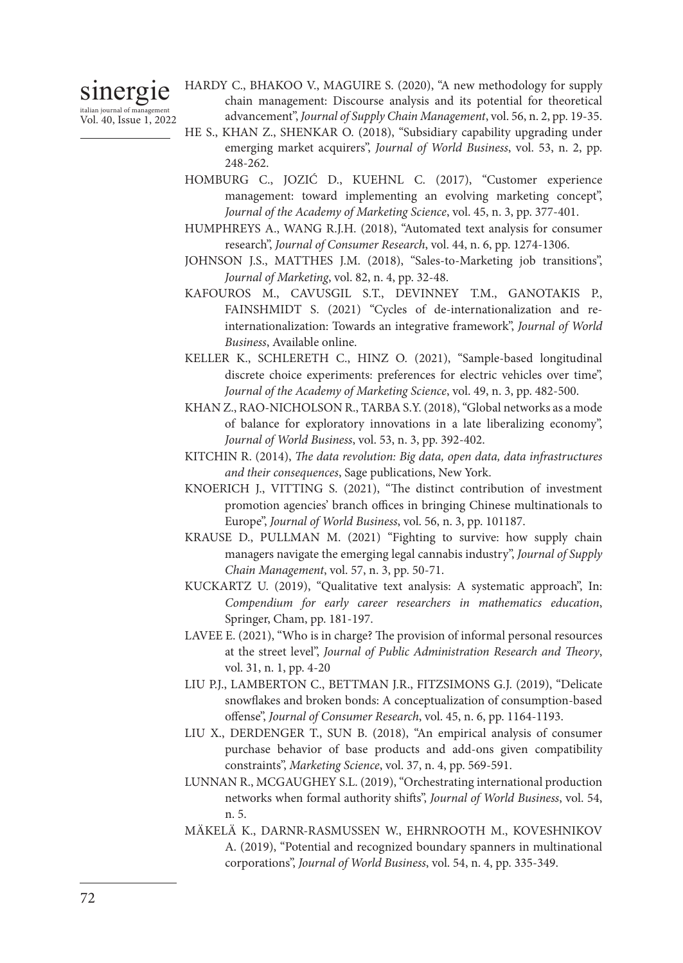sinergie italian journal of management Vol. 40, Issue 1, 2022 HARDY C., BHAKOO V., MAGUIRE S. (2020), "A new methodology for supply chain management: Discourse analysis and its potential for theoretical advancement", *Journal of Supply Chain Management*, vol. 56, n. 2, pp. 19-35.

- HE S., KHAN Z., SHENKAR O. (2018), "Subsidiary capability upgrading under emerging market acquirers", *Journal of World Business*, vol. 53, n. 2, pp. 248-262.
- HOMBURG C., JOZIĆ D., KUEHNL C. (2017), "Customer experience management: toward implementing an evolving marketing concept", *Journal of the Academy of Marketing Science*, vol. 45, n. 3, pp. 377-401.
- HUMPHREYS A., WANG R.J.H. (2018), "Automated text analysis for consumer research", *Journal of Consumer Research*, vol. 44, n. 6, pp. 1274-1306.
- JOHNSON J.S., MATTHES J.M. (2018), "Sales-to-Marketing job transitions", *Journal of Marketing*, vol. 82, n. 4, pp. 32-48.
- KAFOUROS M., CAVUSGIL S.T., DEVINNEY T.M., GANOTAKIS P., FAINSHMIDT S. (2021) "Cycles of de-internationalization and reinternationalization: Towards an integrative framework", *Journal of World Business*, Available online.
- KELLER K., SCHLERETH C., HINZ O. (2021), "Sample-based longitudinal discrete choice experiments: preferences for electric vehicles over time", *Journal of the Academy of Marketing Science*, vol. 49, n. 3, pp. 482-500.
- KHAN Z., RAO-NICHOLSON R., TARBA S.Y. (2018), "Global networks as a mode of balance for exploratory innovations in a late liberalizing economy", *Journal of World Business*, vol. 53, n. 3, pp. 392-402.
- KITCHIN R. (2014), *The data revolution: Big data, open data, data infrastructures and their consequences*, Sage publications, New York.
- KNOERICH J., VITTING S. (2021), "The distinct contribution of investment promotion agencies' branch offices in bringing Chinese multinationals to Europe", *Journal of World Business*, vol. 56, n. 3, pp. 101187.
- KRAUSE D., PULLMAN M. (2021) "Fighting to survive: how supply chain managers navigate the emerging legal cannabis industry", *Journal of Supply Chain Management*, vol. 57, n. 3, pp. 50-71.
- KUCKARTZ U. (2019), "Qualitative text analysis: A systematic approach", In: *Compendium for early career researchers in mathematics education*, Springer, Cham, pp. 181-197.
- LAVEE E. (2021), "Who is in charge? The provision of informal personal resources at the street level", *Journal of Public Administration Research and Theory*, vol. 31, n. 1, pp. 4-20
- LIU P.J., LAMBERTON C., BETTMAN J.R., FITZSIMONS G.J. (2019), "Delicate snowflakes and broken bonds: A conceptualization of consumption-based offense", *Journal of Consumer Research*, vol. 45, n. 6, pp. 1164-1193.
- LIU X., DERDENGER T., SUN B. (2018), "An empirical analysis of consumer purchase behavior of base products and add-ons given compatibility constraints", *Marketing Science*, vol. 37, n. 4, pp. 569-591.
- LUNNAN R., MCGAUGHEY S.L. (2019), "Orchestrating international production networks when formal authority shifts", *Journal of World Business*, vol. 54, n. 5.
- MÄKELÄ K., DARNR-RASMUSSEN W., EHRNROOTH M., KOVESHNIKOV A. (2019), "Potential and recognized boundary spanners in multinational corporations", *Journal of World Business*, vol. 54, n. 4, pp. 335-349.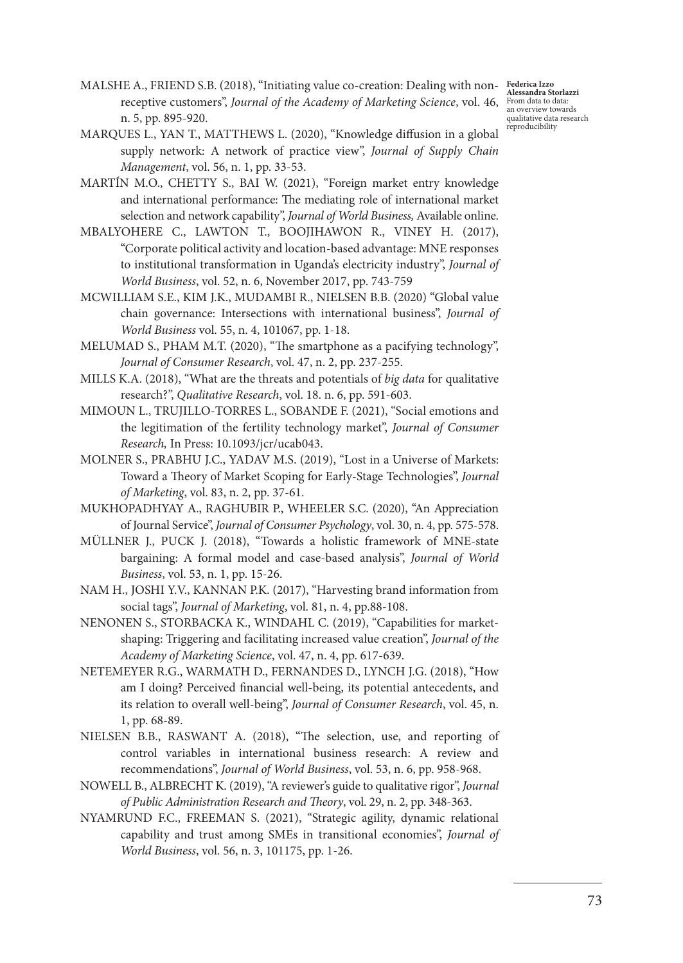**Alessandra Storlazzi** From data to data: an overview towards qualitative data research reproducibility

- MALSHE A., FRIEND S.B. (2018), "Initiating value co-creation: Dealing with non-**Federica Izzo**<br>MALSHE A., FRIEND S.B. (2018), "Initiating value co-creation: Dealing with non-Belessandra St receptive customers", *Journal of the Academy of Marketing Science*, vol. 46, n. 5, pp. 895-920.
- MARQUES L., YAN T., MATTHEWS L. (2020), "Knowledge diffusion in a global supply network: A network of practice view", *Journal of Supply Chain Management*, vol. 56, n. 1, pp. 33-53.
- MARTÍN M.O., CHETTY S., BAI W. (2021), "Foreign market entry knowledge and international performance: The mediating role of international market selection and network capability", *Journal of World Business,* Available online.
- MBALYOHERE C., LAWTON T., BOOJIHAWON R., VINEY H. (2017), "Corporate political activity and location-based advantage: MNE responses to institutional transformation in Uganda's electricity industry", *Journal of World Business*, vol. 52, n. 6, November 2017, pp. 743-759
- MCWILLIAM S.E., KIM J.K., MUDAMBI R., NIELSEN B.B. (2020) "Global value chain governance: Intersections with international business", *Journal of World Business* vol. 55, n. 4, 101067, pp. 1-18.
- MELUMAD S., PHAM M.T. (2020), "The smartphone as a pacifying technology", *Journal of Consumer Research*, vol. 47, n. 2, pp. 237-255.
- MILLS K.A. (2018), "What are the threats and potentials of *big data* for qualitative research?", *Qualitative Research*, vol. 18. n. 6, pp. 591-603.
- MIMOUN L., TRUJILLO-TORRES L., SOBANDE F. (2021), "Social emotions and the legitimation of the fertility technology market", *Journal of Consumer Research,* In Press: 10.1093/jcr/ucab043.
- MOLNER S., PRABHU J.C., YADAV M.S. (2019), "Lost in a Universe of Markets: Toward a Theory of Market Scoping for Early-Stage Technologies", *Journal of Marketing*, vol. 83, n. 2, pp. 37-61.
- MUKHOPADHYAY A., RAGHUBIR P., WHEELER S.C. (2020), "An Appreciation of Journal Service", *Journal of Consumer Psychology*, vol. 30, n. 4, pp. 575-578.
- MÜLLNER J., PUCK J. (2018), "Towards a holistic framework of MNE-state bargaining: A formal model and case-based analysis", *Journal of World Business*, vol. 53, n. 1, pp. 15-26.
- NAM H., JOSHI Y.V., KANNAN P.K. (2017), "Harvesting brand information from social tags", *Journal of Marketing*, vol. 81, n. 4, pp.88-108.
- NENONEN S., STORBACKA K., WINDAHL C. (2019), "Capabilities for marketshaping: Triggering and facilitating increased value creation", *Journal of the Academy of Marketing Science*, vol. 47, n. 4, pp. 617-639.
- NETEMEYER R.G., WARMATH D., FERNANDES D., LYNCH J.G. (2018), "How am I doing? Perceived financial well-being, its potential antecedents, and its relation to overall well-being", *Journal of Consumer Research*, vol. 45, n. 1, pp. 68-89.
- NIELSEN B.B., RASWANT A. (2018), "The selection, use, and reporting of control variables in international business research: A review and recommendations", *Journal of World Business*, vol. 53, n. 6, pp. 958-968.
- NOWELL B., ALBRECHT K. (2019), "A reviewer's guide to qualitative rigor", *Journal of Public Administration Research and Theory*, vol. 29, n. 2, pp. 348-363.
- NYAMRUND F.C., FREEMAN S. (2021), "Strategic agility, dynamic relational capability and trust among SMEs in transitional economies", *Journal of World Business*, vol. 56, n. 3, 101175, pp. 1-26.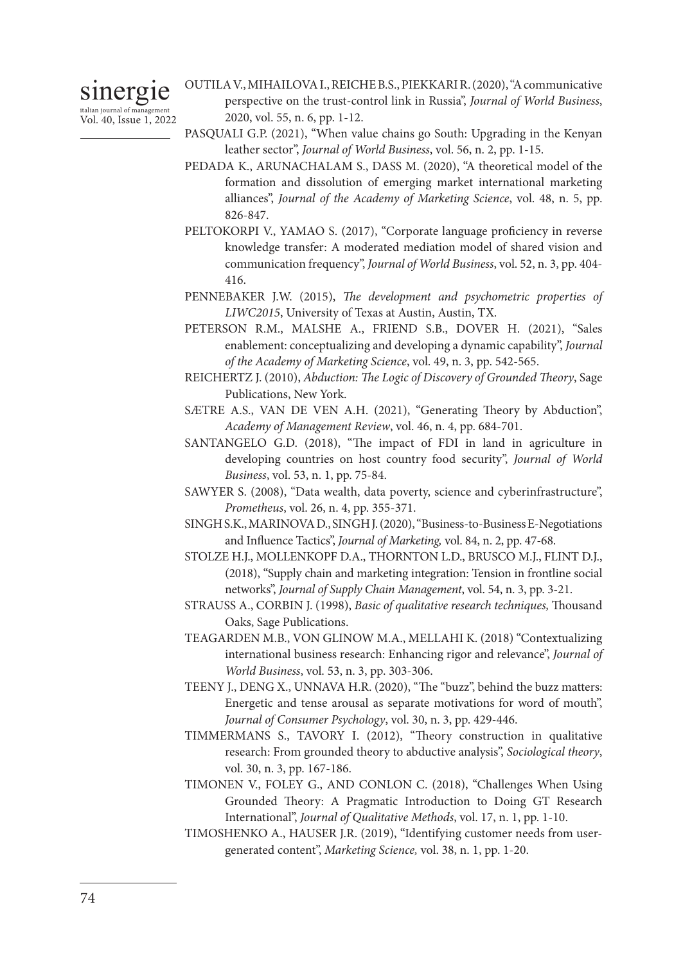sinergie italian journal of management Vol. 40, Issue 1, 2022

- OUTILA V., MIHAILOVA I., REICHE B.S., PIEKKARI R. (2020), "A communicative perspective on the trust-control link in Russia", *Journal of World Business*, 2020, vol. 55, n. 6, pp. 1-12.
- PASQUALI G.P. (2021), "When value chains go South: Upgrading in the Kenyan leather sector", *Journal of World Business*, vol. 56, n. 2, pp. 1-15.
- PEDADA K., ARUNACHALAM S., DASS M. (2020), "A theoretical model of the formation and dissolution of emerging market international marketing alliances", *Journal of the Academy of Marketing Science*, vol. 48, n. 5, pp. 826-847.
- PELTOKORPI V., YAMAO S. (2017), "Corporate language proficiency in reverse knowledge transfer: A moderated mediation model of shared vision and communication frequency", *Journal of World Business*, vol. 52, n. 3, pp. 404- 416.
- PENNEBAKER J.W. (2015), *The development and psychometric properties of LIWC2015*, University of Texas at Austin, Austin, TX.
- PETERSON R.M., MALSHE A., FRIEND S.B., DOVER H. (2021), "Sales enablement: conceptualizing and developing a dynamic capability", *Journal of the Academy of Marketing Science*, vol. 49, n. 3, pp. 542-565.
- REICHERTZ J. (2010), *Abduction: The Logic of Discovery of Grounded Theory*, Sage Publications, New York.
- SÆTRE A.S., VAN DE VEN A.H. (2021), "Generating Theory by Abduction", *Academy of Management Review*, vol. 46, n. 4, pp. 684-701.
- SANTANGELO G.D. (2018), "The impact of FDI in land in agriculture in developing countries on host country food security", *Journal of World Business*, vol. 53, n. 1, pp. 75-84.
- SAWYER S. (2008), "Data wealth, data poverty, science and cyberinfrastructure", *Prometheus*, vol. 26, n. 4, pp. 355-371.
- SINGH S.K., MARINOVA D., SINGH J. (2020), "Business-to-Business E-Negotiations and Influence Tactics", *Journal of Marketing,* vol. 84, n. 2, pp. 47-68.
- STOLZE H.J., MOLLENKOPF D.A., THORNTON L.D., BRUSCO M.J., FLINT D.J., (2018), "Supply chain and marketing integration: Tension in frontline social networks", *Journal of Supply Chain Management*, vol. 54, n. 3, pp. 3-21.
- STRAUSS A., CORBIN J. (1998), *Basic of qualitative research techniques,* Thousand Oaks, Sage Publications.
- TEAGARDEN M.B., VON GLINOW M.A., MELLAHI K. (2018) "Contextualizing international business research: Enhancing rigor and relevance", *Journal of World Business*, vol. 53, n. 3, pp. 303-306.
- TEENY J., DENG X., UNNAVA H.R. (2020), "The "buzz", behind the buzz matters: Energetic and tense arousal as separate motivations for word of mouth", *Journal of Consumer Psychology*, vol. 30, n. 3, pp. 429-446.
- TIMMERMANS S., TAVORY I. (2012), "Theory construction in qualitative research: From grounded theory to abductive analysis", *Sociological theory*, vol. 30, n. 3, pp. 167-186.
- TIMONEN V., FOLEY G., AND CONLON C. (2018), "Challenges When Using Grounded Theory: A Pragmatic Introduction to Doing GT Research International", *Journal of Qualitative Methods*, vol. 17, n. 1, pp. 1-10.
- TIMOSHENKO A., HAUSER J.R. (2019), "Identifying customer needs from usergenerated content", *Marketing Science,* vol. 38, n. 1, pp. 1-20.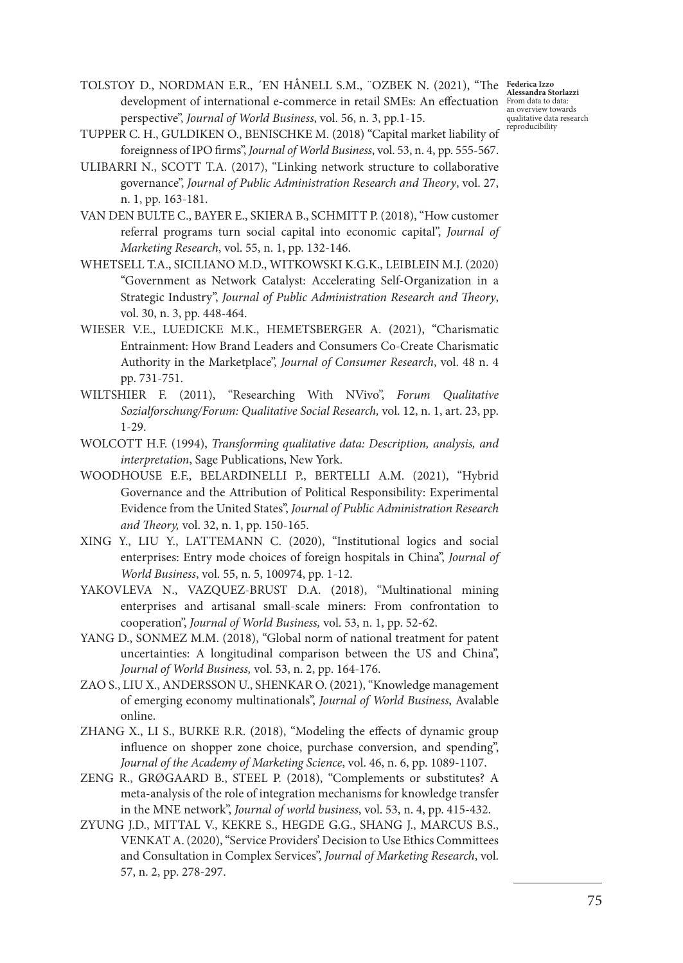TOLSTOY D., NORDMAN E.R., ´EN HÅNELL S.M., ¨OZBEK N. (2021), "The **Federica Izzo**  development of international e-commerce in retail SMEs: An effectuation **Alessandra Storlazzi** From data to data: an overview towards perspective", *Journal of World Business*, vol. 56, n. 3, pp.1-15.

TUPPER C. H., GULDIKEN O., BENISCHKE M. (2018) "Capital market liability of foreignness of IPO firms", *Journal of World Business*, vol. 53, n. 4, pp. 555-567.

ULIBARRI N., SCOTT T.A. (2017), "Linking network structure to collaborative governance", *Journal of Public Administration Research and Theory*, vol. 27, n. 1, pp. 163-181.

VAN DEN BULTE C., BAYER E., SKIERA B., SCHMITT P. (2018), "How customer referral programs turn social capital into economic capital", *Journal of Marketing Research*, vol. 55, n. 1, pp. 132-146.

- WHETSELL T.A., SICILIANO M.D., WITKOWSKI K.G.K., LEIBLEIN M.J. (2020) "Government as Network Catalyst: Accelerating Self-Organization in a Strategic Industry", *Journal of Public Administration Research and Theory*, vol. 30, n. 3, pp. 448-464.
- WIESER V.E., LUEDICKE M.K., HEMETSBERGER A. (2021), "Charismatic Entrainment: How Brand Leaders and Consumers Co-Create Charismatic Authority in the Marketplace", *Journal of Consumer Research*, vol. 48 n. 4 pp. 731-751.
- WILTSHIER F. (2011), "Researching With NVivo", *Forum Qualitative Sozialforschung/Forum: Qualitative Social Research,* vol. 12, n. 1, art. 23, pp. 1-29.
- WOLCOTT H.F. (1994), *Transforming qualitative data: Description, analysis, and interpretation*, Sage Publications, New York.
- WOODHOUSE E.F., BELARDINELLI P., BERTELLI A.M. (2021), "Hybrid Governance and the Attribution of Political Responsibility: Experimental Evidence from the United States", *Journal of Public Administration Research and Theory,* vol. 32, n. 1, pp. 150-165.
- XING Y., LIU Y., LATTEMANN C. (2020), "Institutional logics and social enterprises: Entry mode choices of foreign hospitals in China", *Journal of World Business*, vol. 55, n. 5, 100974, pp. 1-12.
- YAKOVLEVA N., VAZQUEZ-BRUST D.A. (2018), "Multinational mining enterprises and artisanal small-scale miners: From confrontation to cooperation", *Journal of World Business,* vol. 53, n. 1, pp. 52-62.
- YANG D., SONMEZ M.M. (2018), "Global norm of national treatment for patent uncertainties: A longitudinal comparison between the US and China", *Journal of World Business,* vol. 53, n. 2, pp. 164-176.
- ZAO S., LIU X., ANDERSSON U., SHENKAR O. (2021), "Knowledge management of emerging economy multinationals", *Journal of World Business*, Avalable online.
- ZHANG X., LI S., BURKE R.R. (2018), "Modeling the effects of dynamic group influence on shopper zone choice, purchase conversion, and spending", *Journal of the Academy of Marketing Science*, vol. 46, n. 6, pp. 1089-1107.
- ZENG R., GRØGAARD B., STEEL P. (2018), "Complements or substitutes? A meta-analysis of the role of integration mechanisms for knowledge transfer in the MNE network", *Journal of world business*, vol. 53, n. 4, pp. 415-432.
- ZYUNG J.D., MITTAL V., KEKRE S., HEGDE G.G., SHANG J., MARCUS B.S., VENKAT A. (2020), "Service Providers' Decision to Use Ethics Committees and Consultation in Complex Services", *Journal of Marketing Research*, vol. 57, n. 2, pp. 278-297.

qualitative data research reproducibility